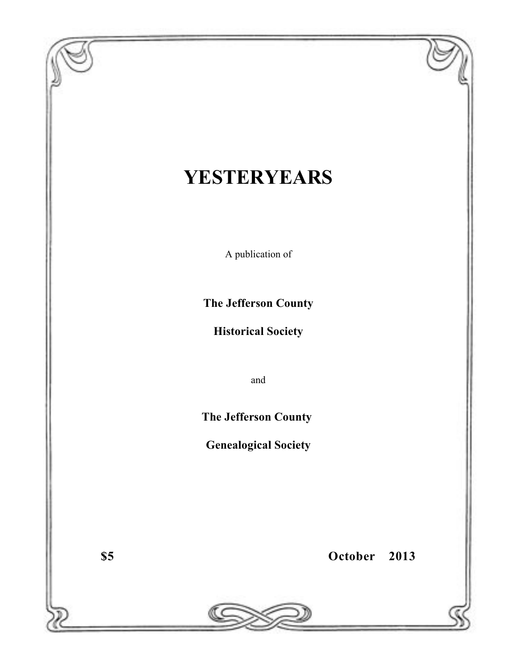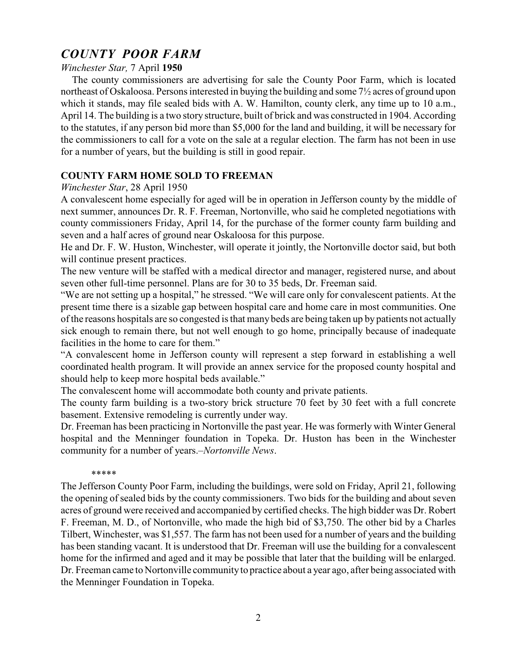# *COUNTY POOR PARM*

# *Winchester Star,* 7 April **<sup>1950</sup>**

 The county commissioners are advertising for sale the County Poor Farm, which is located northeast of Oskaloosa. Persons interested in buying the building and some 7½ acres of ground upon which it stands, may file sealed bids with A. W. Hamilton, county clerk, any time up to 10 a.m., April 14. The building is a two story structure, built of brick and was constructed in 1904. According to the statutes, if any person bid more than \$5,000 for the land and building, it will be necessary for the commissioners to call for a vote on the sale at a regular election. The farm has not been in use for a number of years, but the building is still in good repair.

# **COUNTY FARM HOME SOLD TO FREEMAN** *Winchester Star*, 28 April 1950

A convalescent home especially for aged will be in operation in Jefferson county by the middle of next summer, announces Dr. R. F. Freeman, Nortonville, who said he completed negotiations with county commissioners Friday, April 14, for the purchase of the former county farm building and seven and a half acres of ground near Oskaloosa for this purpose.

He and Dr. F. W. Huston, Winchester, will operate it jointly, the Nortonville doctor said, but both will continue present practices.

The new venture will be staffed with a medical director and manager, registered nurse, and about seven other full-time personnel. Plans are for 30 to 35 beds, Dr. Freeman said.

"We are not setting up a hospital," he stressed. "We will care only for convalescent patients. At the present time there is a sizable gap between hospital care and home care in most communities. One of the reasons hospitals are so congested is that many beds are being taken up by patients not actually sick enough to remain there, but not well enough to go home, principally because of inadequate facilities in the home to care for them."

"A convalescent home in Jefferson county will represent a step forward in establishing a well coordinated health program. It will provide an annex service for the proposed county hospital and should help to keep more hospital beds available."

The convalescent home will accommodate both county and private patients.

The county farm building is a two-story brick structure 70 feet by 30 feet with a full concrete basement. Extensive remodeling is currently under way.

Dr. Freeman has been practicing in Nortonville the past year. He was formerly with Winter General hospital and the Menninger foundation in Topeka. Dr. Huston has been in the Winchester community for a number of years.–*Nortonville News*.

#### \*\*\*\*\*

The Jefferson County Poor Farm, including the buildings, were sold on Friday, April 21, following the opening of sealed bids by the county commissioners. Two bids for the building and about seven acres of ground were received and accompanied by certified checks. The high bidder was Dr. Robert F. Freeman, M. D., of Nortonville, who made the high bid of \$3,750. The other bid by a Charles Tilbert, Winchester, was \$1,557. The farm has not been used for a number of years and the building has been standing vacant. It is understood that Dr. Freeman will use the building for a convalescent home for the infirmed and aged and it may be possible that later that the building will be enlarged. Dr. Freeman came to Nortonville communityto practice about a year ago, after being associated with the Menninger Foundation in Topeka.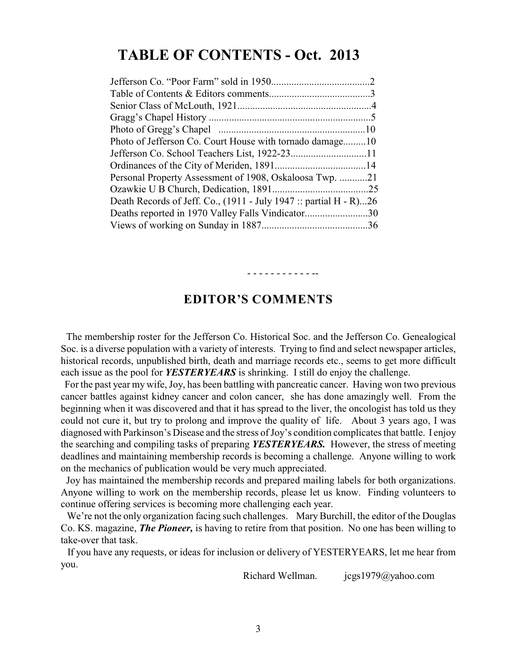## **TABLE OF CONTENTS - Oct. 2013**

| Photo of Jefferson Co. Court House with tornado damage10          |  |
|-------------------------------------------------------------------|--|
|                                                                   |  |
|                                                                   |  |
| Personal Property Assessment of 1908, Oskaloosa Twp. 21           |  |
|                                                                   |  |
| Death Records of Jeff. Co., (1911 - July 1947 :: partial H - R)26 |  |
| Deaths reported in 1970 Valley Falls Vindicator30                 |  |
|                                                                   |  |
|                                                                   |  |

### **EDITOR'S COMMENTS**

- - - - - - - - - - - --

 The membership roster for the Jefferson Co. Historical Soc. and the Jefferson Co. Genealogical Soc. is a diverse population with a variety of interests. Trying to find and select newspaper articles, historical records, unpublished birth, death and marriage records etc., seems to get more difficult each issue as the pool for *YESTERYEARS* is shrinking. I still do enjoy the challenge.

For the past year my wife, Joy, has been battling with pancreatic cancer. Having won two previous cancer battles against kidney cancer and colon cancer, she has done amazingly well. From the beginning when it was discovered and that it has spread to the liver, the oncologist has told us they could not cure it, but try to prolong and improve the quality of life. About 3 years ago, I was diagnosed with Parkinson's Disease and the stress of Joy's condition complicates that battle. I enjoy the searching and compiling tasks of preparing *YESTERYEARS.* However, the stress of meeting deadlines and maintaining membership records is becoming a challenge. Anyone willing to work on the mechanics of publication would be very much appreciated.

 Joy has maintained the membership records and prepared mailing labels for both organizations. Anyone willing to work on the membership records, please let us know. Finding volunteers to continue offering services is becoming more challenging each year.

 We're not the only organization facing such challenges. Mary Burchill, the editor of the Douglas Co. KS. magazine, *The Pioneer,* is having to retire from that position. No one has been willing to take-over that task.

 If you have any requests, or ideas for inclusion or delivery of YESTERYEARS, let me hear from you.

Richard Wellman. jcgs1979@yahoo.com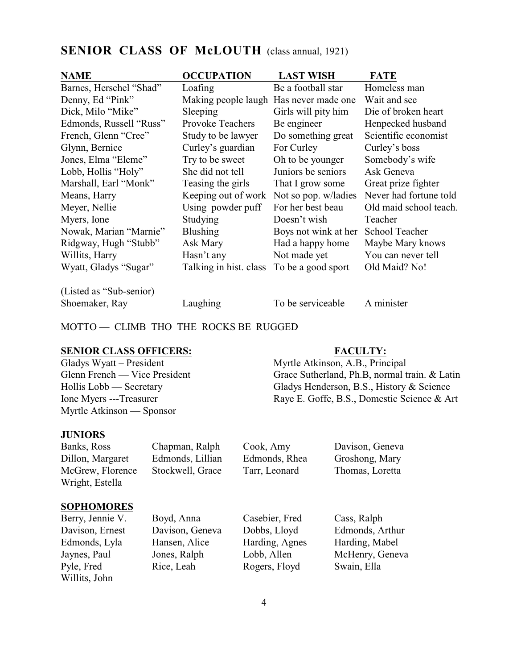| <b>NAME</b>             | <b>OCCUPATION</b>                      | <b>LAST WISH</b>     | <b>FATE</b>            |
|-------------------------|----------------------------------------|----------------------|------------------------|
| Barnes, Herschel "Shad" | Loafing                                | Be a football star   | Homeless man           |
| Denny, Ed "Pink"        | Making people laugh Has never made one |                      | Wait and see           |
| Dick, Milo "Mike"       | Sleeping                               | Girls will pity him  | Die of broken heart    |
| Edmonds, Russell "Russ" | <b>Provoke Teachers</b>                | Be engineer          | Henpecked husband      |
| French, Glenn "Cree"    | Study to be lawyer                     | Do something great   | Scientific economist   |
| Glynn, Bernice          | Curley's guardian                      | For Curley           | Curley's boss          |
| Jones, Elma "Eleme"     | Try to be sweet                        | Oh to be younger     | Somebody's wife        |
| Lobb, Hollis "Holy"     | She did not tell                       | Juniors be seniors   | Ask Geneva             |
| Marshall, Earl "Monk"   | Teasing the girls                      | That I grow some     | Great prize fighter    |
| Means, Harry            | Keeping out of work                    | Not so pop. w/ladies | Never had fortune told |
| Meyer, Nellie           | Using powder puff                      | For her best beau    | Old maid school teach. |
| Myers, Ione             | Studying                               | Doesn't wish         | Teacher                |
| Nowak, Marian "Marnie"  | <b>Blushing</b>                        | Boys not wink at her | School Teacher         |
| Ridgway, Hugh "Stubb"   | Ask Mary                               | Had a happy home     | Maybe Mary knows       |
| Willits, Harry          | Hasn't any                             | Not made yet         | You can never tell     |
| Wyatt, Gladys "Sugar"   | Talking in hist. class                 | To be a good sport   | Old Maid? No!          |
| (Listed as "Sub-senior) |                                        |                      |                        |

#### **SENIOR CLASS OF McLOUTH** (class annual, 1921)

Shoemaker, Ray Laughing To be serviceable A minister

MOTTO — CLIMB THO THE ROCKS BE RUGGED

Myrtle Atkinson — Sponsor

# **JUNIORS**

Dillon, Margaret Edmonds, Lillian Edmonds, Rhea Groshong, Mary McGrew, Florence Stockwell, Grace Tarr, Leonard Thomas, Loretta Wright, Estella

Chapman, Ralph Cook, Amy Davison, Geneva

Willits, John

**SOPHOMORES** Berry, Jennie V. Boyd, Anna Casebier, Fred Cass, Ralph Edmonds, Lyla Hansen, Alice Harding, Agnes Harding, Mabel Pyle, Fred Rice, Leah Rogers, Floyd Swain, Ella

Davison, Ernest Davison, Geneva Dobbs, Lloyd Edmonds, Arthur Jaynes, Paul Jones, Ralph Lobb, Allen McHenry, Geneva

**SENIOR CLASS OFFICERS:**<br>
Gladys Wyatt – President Myrtle Atkinson, A.B., Princ Myrtle Atkinson, A.B., Principal Glenn French — Vice President Grace Sutherland, Ph.B, normal train. & Latin

Hollis Lobb — Secretary Gladys Henderson, B.S., History & Science Ione Myers ---Treasurer Raye E. Goffe, B.S., Domestic Science & Art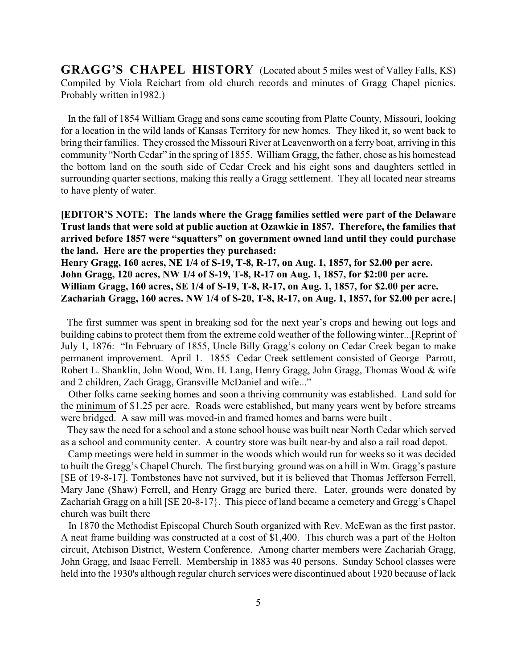**GRAGG'S CHAPEL HISTORY** (Located about 5 miles west of Valley Falls, KS) Compiled by Viola Reichart from old church records and minutes of Gragg Chapel picnics. Probably written in1982.)

 In the fall of 1854 William Gragg and sons came scouting from Platte County, Missouri, looking for a location in the wild lands of Kansas Territory for new homes. They liked it, so went back to bring their families. They crossed the Missouri River at Leavenworth on a ferry boat, arriving in this community "North Cedar" in the spring of 1855. William Gragg, the father, chose as his homestead the bottom land on the south side of Cedar Creek and his eight sons and daughters settled in surrounding quarter sections, making this really a Gragg settlement. They all located near streams to have plenty of water.

**[EDITOR'S NOTE: The lands where the Gragg families settled were part of the Delaware Trust lands that were sold at public auction at Ozawkie in 1857. Therefore, the families that arrived before 1857 were "squatters" on government owned land until they could purchase the land. Here are the properties they purchased:**

**Henry Gragg, 160 acres, NE 1/4 of S-19, T-8, R-17, on Aug. 1, 1857, for \$2.00 per acre. John Gragg, 120 acres, NW 1/4 of S-19, T-8, R-17 on Aug. 1, 1857, for \$2:00 per acre. William Gragg, 160 acres, SE 1/4 of S-19, T-8, R-17, on Aug. 1, 1857, for \$2.00 per acre. Zachariah Gragg, 160 acres. NW 1/4 of S-20, T-8, R-17, on Aug. 1, 1857, for \$2.00 per acre.]**

 The first summer was spent in breaking sod for the next year's crops and hewing out logs and building cabins to protect them from the extreme cold weather of the following winter...[Reprint of July 1, 1876: "In February of 1855, Uncle Billy Gragg's colony on Cedar Creek began to make permanent improvement. April 1. 1855 Cedar Creek settlement consisted of George Parrott, Robert L. Shanklin, John Wood, Wm. H. Lang, Henry Gragg, John Gragg, Thomas Wood & wife and 2 children, Zach Gragg, Gransville McDaniel and wife..."

 Other folks came seeking homes and soon a thriving community was established. Land sold for the minimum of \$1.25 per acre. Roads were established, but many years went by before streams were bridged. A saw mill was moved-in and framed homes and barns were built .

 They saw the need for a school and a stone school house was built near North Cedar which served as a school and community center. A country store was built near-by and also a rail road depot.

 Camp meetings were held in summer in the woods which would run for weeks so it was decided to built the Gregg's Chapel Church. The first burying ground was on a hill in Wm. Gragg's pasture [SE of 19-8-17]. Tombstones have not survived, but it is believed that Thomas Jefferson Ferrell, Mary Jane (Shaw) Ferrell, and Henry Gragg are buried there. Later, grounds were donated by Zachariah Gragg on a hill [SE 20-8-17}. This piece of land became a cemetery and Gregg's Chapel church was built there

 In 1870 the Methodist Episcopal Church South organized with Rev. McEwan as the first pastor. A neat frame building was constructed at a cost of \$1,400. This church was a part of the Holton circuit, Atchison District, Western Conference. Among charter members were Zachariah Gragg, John Gragg, and Isaac Ferrell. Membership in 1883 was 40 persons. Sunday School classes were held into the 1930's although regular church services were discontinued about 1920 because of lack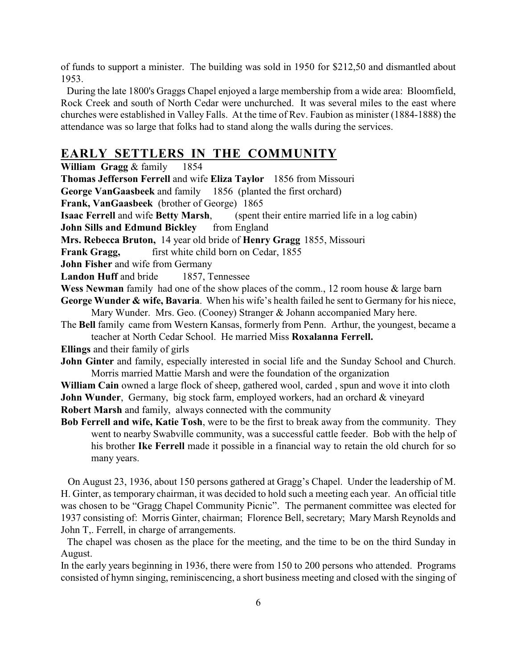of funds to support a minister. The building was sold in 1950 for \$212,50 and dismantled about 1953.

During the late 1800's Graggs Chapel enjoyed a large membership from a wide area: Bloomfield, Rock Creek and south of North Cedar were unchurched. It was several miles to the east where churches were established in Valley Falls. At the time of Rev. Faubion as minister (1884-1888) the attendance was so large that folks had to stand along the walls during the services.

### **EARLY SETTLERS IN THE COMMUNITY**

**William Gragg** & family 1854

**Thomas Jefferson Ferrell** and wife **Eliza Taylor** 1856 from Missouri

**George VanGaasbeek** and family 1856 (planted the first orchard)

**Frank, VanGaasbeek** (brother of George) 1865

**Isaac Ferrell** and wife **Betty Marsh**, (spent their entire married life in a log cabin)

**John Sills and Edmund Bickley** from England

**Mrs. Rebecca Bruton,** 14 year old bride of **Henry Gragg** 1855, Missouri

**Frank Gragg,** first white child born on Cedar, 1855

**John Fisher** and wife from Germany

**Landon Huff** and bride 1857, Tennessee

Wess Newman family had one of the show places of the comm., 12 room house & large barn

**George Wunder & wife, Bavaria**. When his wife's health failed he sent to Germany for his niece, Mary Wunder. Mrs. Geo. (Cooney) Stranger & Johann accompanied Mary here.

The **Bell** family came from Western Kansas, formerly from Penn. Arthur, the youngest, became a teacher at North Cedar School. He married Miss **Roxalanna Ferrell.**

**Ellings** and their family of girls

**John Ginter** and family, especially interested in social life and the Sunday School and Church. Morris married Mattie Marsh and were the foundation of the organization

**William Cain** owned a large flock of sheep, gathered wool, carded , spun and wove it into cloth **John Wunder**, Germany, big stock farm, employed workers, had an orchard & vineyard

**Robert Marsh** and family, always connected with the community

**Bob Ferrell and wife, Katie Tosh**, were to be the first to break away from the community. They went to nearby Swabville community, was a successful cattle feeder. Bob with the help of his brother **Ike Ferrell** made it possible in a financial way to retain the old church for so many years.

 On August 23, 1936, about 150 persons gathered at Gragg's Chapel. Under the leadership of M. H. Ginter, as temporary chairman, it was decided to hold such a meeting each year. An official title was chosen to be "Gragg Chapel Community Picnic". The permanent committee was elected for 1937 consisting of: Morris Ginter, chairman; Florence Bell, secretary; Mary Marsh Reynolds and John T,. Ferrell, in charge of arrangements.

 The chapel was chosen as the place for the meeting, and the time to be on the third Sunday in August.

In the early years beginning in 1936, there were from 150 to 200 persons who attended. Programs consisted of hymn singing, reminiscencing, a short business meeting and closed with the singing of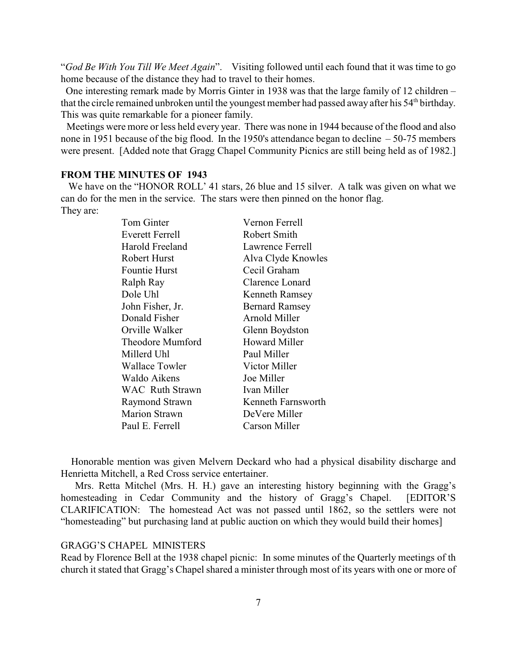"*God Be With You Till We Meet Again*". Visiting followed until each found that it was time to go home because of the distance they had to travel to their homes.

 One interesting remark made by Morris Ginter in 1938 was that the large family of 12 children – that the circle remained unbroken until the youngest member had passed away after his 54<sup>th</sup> birthday. This was quite remarkable for a pioneer family.

 Meetings were more or less held every year. There was none in 1944 because of the flood and also none in 1951 because of the big flood. In the 1950's attendance began to decline – 50-75 members were present. [Added note that Gragg Chapel Community Picnics are still being held as of 1982.]

#### **FROM THE MINUTES OF 1943**

We have on the "HONOR ROLL' 41 stars, 26 blue and 15 silver. A talk was given on what we can do for the men in the service. The stars were then pinned on the honor flag. They are:

| Tom Ginter             | Vernon Ferrell        |
|------------------------|-----------------------|
| Everett Ferrell        | Robert Smith          |
| Harold Freeland        | Lawrence Ferrell      |
| Robert Hurst           | Alva Clyde Knowles    |
| <b>Fountie Hurst</b>   | Cecil Graham          |
| Ralph Ray              | Clarence Lonard       |
| Dole Uhl               | <b>Kenneth Ramsey</b> |
| John Fisher, Jr.       | <b>Bernard Ramsey</b> |
| Donald Fisher          | Arnold Miller         |
| Orville Walker         | Glenn Boydston        |
| Theodore Mumford       | <b>Howard Miller</b>  |
| Millerd Uhl            | Paul Miller           |
| Wallace Towler         | Victor Miller         |
| Waldo Aikens           | Joe Miller            |
| <b>WAC Ruth Strawn</b> | Ivan Miller           |
| Raymond Strawn         | Kenneth Farnsworth    |
| <b>Marion Strawn</b>   | DeVere Miller         |
| Paul E. Ferrell        | Carson Miller         |

 Honorable mention was given Melvern Deckard who had a physical disability discharge and Henrietta Mitchell, a Red Cross service entertainer.

 Mrs. Retta Mitchel (Mrs. H. H.) gave an interesting history beginning with the Gragg's homesteading in Cedar Community and the history of Gragg's Chapel. [EDITOR'S CLARIFICATION: The homestead Act was not passed until 1862, so the settlers were not "homesteading" but purchasing land at public auction on which they would build their homes]

#### GRAGG'S CHAPEL MINISTERS

Read by Florence Bell at the 1938 chapel picnic: In some minutes of the Quarterly meetings of th church it stated that Gragg's Chapel shared a minister through most of its years with one or more of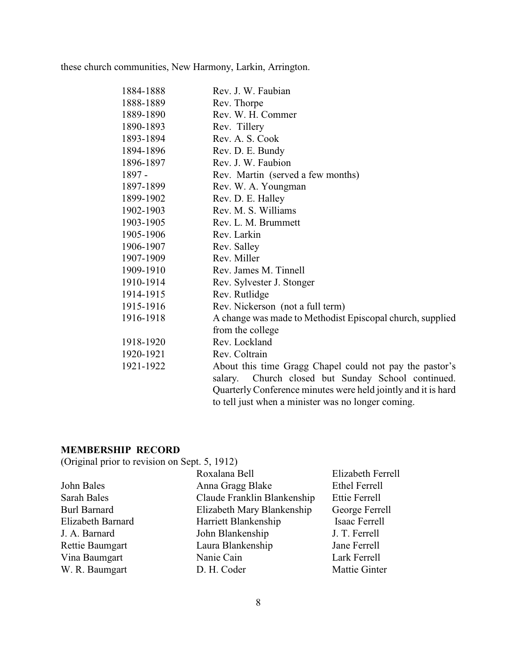these church communities, New Harmony, Larkin, Arrington.

| 1884-1888 | Rev. J. W. Faubian                                            |
|-----------|---------------------------------------------------------------|
| 1888-1889 | Rev. Thorpe                                                   |
| 1889-1890 | Rev. W. H. Commer                                             |
| 1890-1893 | Rev. Tillery                                                  |
| 1893-1894 | Rev. A. S. Cook                                               |
| 1894-1896 | Rev. D. E. Bundy                                              |
| 1896-1897 | Rev. J. W. Faubion                                            |
| 1897 -    | Rev. Martin (served a few months)                             |
| 1897-1899 | Rev. W. A. Youngman                                           |
| 1899-1902 | Rev. D. E. Halley                                             |
| 1902-1903 | Rev. M. S. Williams                                           |
| 1903-1905 | Rev. L. M. Brummett                                           |
| 1905-1906 | Rev. Larkin                                                   |
| 1906-1907 | Rev. Salley                                                   |
| 1907-1909 | Rev. Miller                                                   |
| 1909-1910 | Rev. James M. Tinnell                                         |
| 1910-1914 | Rev. Sylvester J. Stonger                                     |
| 1914-1915 | Rev. Rutlidge                                                 |
| 1915-1916 | Rev. Nickerson (not a full term)                              |
| 1916-1918 | A change was made to Methodist Episcopal church, supplied     |
|           | from the college                                              |
| 1918-1920 | Rev. Lockland                                                 |
| 1920-1921 | Rev. Coltrain                                                 |
| 1921-1922 | About this time Gragg Chapel could not pay the pastor's       |
|           | Church closed but Sunday School continued.<br>salary.         |
|           | Quarterly Conference minutes were held jointly and it is hard |
|           | to tell just when a minister was no longer coming.            |

### **MEMBERSHIP RECORD**

(Original prior to revision on Sept. 5, 1912)

|                     | Roxalana Bell               | Elizabeth Ferrell    |
|---------------------|-----------------------------|----------------------|
| John Bales          | Anna Gragg Blake            | <b>Ethel Ferrell</b> |
| Sarah Bales         | Claude Franklin Blankenship | Ettie Ferrell        |
| <b>Burl Barnard</b> | Elizabeth Mary Blankenship  | George Ferrell       |
| Elizabeth Barnard   | Harriett Blankenship        | Isaac Ferrell        |
| J. A. Barnard       | John Blankenship            | J. T. Ferrell        |
| Rettie Baumgart     | Laura Blankenship           | Jane Ferrell         |
| Vina Baumgart       | Nanie Cain                  | Lark Ferrell         |
| W. R. Baumgart      | D. H. Coder                 | Mattie Ginter        |
|                     |                             |                      |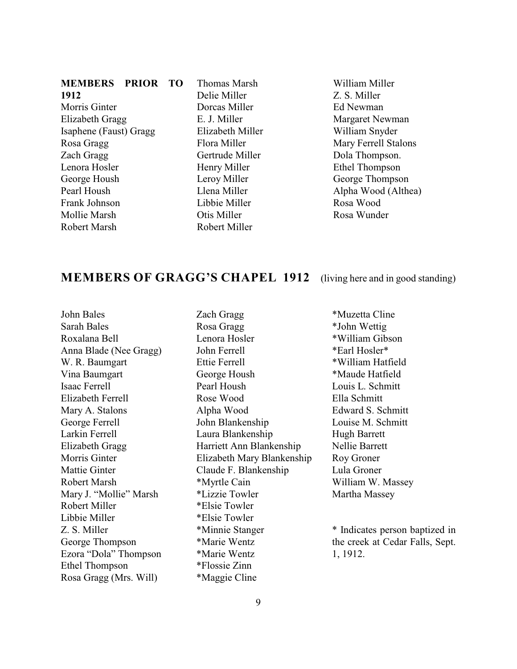#### **MEMBERS PRIOR TO 1912**

Morris Ginter Elizabeth Gragg Isaphene (Faust) Gragg Rosa Gragg Zach Gragg Lenora Hosler George Housh Pearl Housh Frank Johnson Mollie Marsh Robert Marsh

Thomas Marsh Delie Miller Dorcas Miller E. J. Miller Elizabeth Miller Flora Miller Gertrude Miller Henry Miller Leroy Miller Llena Miller Libbie Miller Otis Miller Robert Miller

William Miller Z. S. Miller Ed Newman Margaret Newman William Snyder Mary Ferrell Stalons Dola Thompson. Ethel Thompson George Thompson Alpha Wood (Althea) Rosa Wood Rosa Wunder

#### **MEMBERS OF GRAGG'S CHAPEL 1912** (living here and in good standing)

John Bales Sarah Bales Roxalana Bell Anna Blade (Nee Gragg) W. R. Baumgart Vina Baumgart Isaac Ferrell Elizabeth Ferrell Mary A. Stalons George Ferrell Larkin Ferrell Elizabeth Gragg Morris Ginter Mattie Ginter Robert Marsh Mary J. "Mollie" Marsh Robert Miller Libbie Miller Z. S. Miller George Thompson Ezora "Dola" Thompson Ethel Thompson Rosa Gragg (Mrs. Will)

Zach Gragg Rosa Gragg Lenora Hosler John Ferrell Ettie Ferrell George Housh Pearl Housh Rose Wood Alpha Wood John Blankenship Laura Blankenship Harriett Ann Blankenship Elizabeth Mary Blankenship Claude F. Blankenship \*Myrtle Cain \*Lizzie Towler \*Elsie Towler \*Elsie Towler \*Minnie Stanger \*Marie Wentz \*Marie Wentz \*Flossie Zinn \*Maggie Cline

\*Muzetta Cline \*John Wettig \*William Gibson \*Earl Hosler\* \*William Hatfield \*Maude Hatfield Louis L. Schmitt Ella Schmitt Edward S. Schmitt Louise M. Schmitt Hugh Barrett Nellie Barrett Roy Groner Lula Groner William W. Massey Martha Massey

\* Indicates person baptized in the creek at Cedar Falls, Sept. 1, 1912.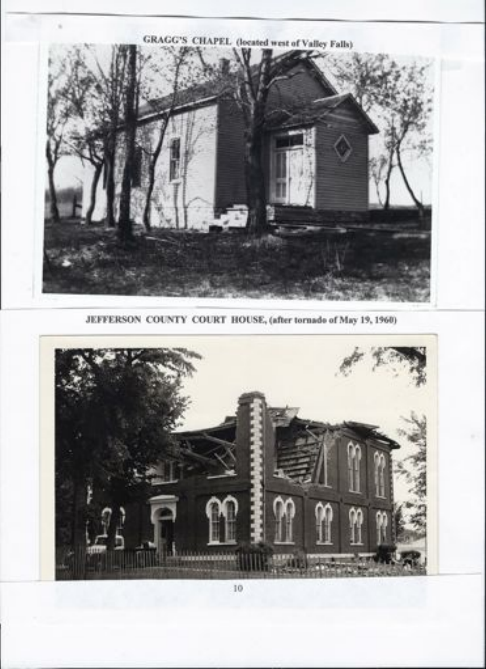

**JEFFERSON COUNTY COURT HOUSE, (after tornado of May 19, 1960)**

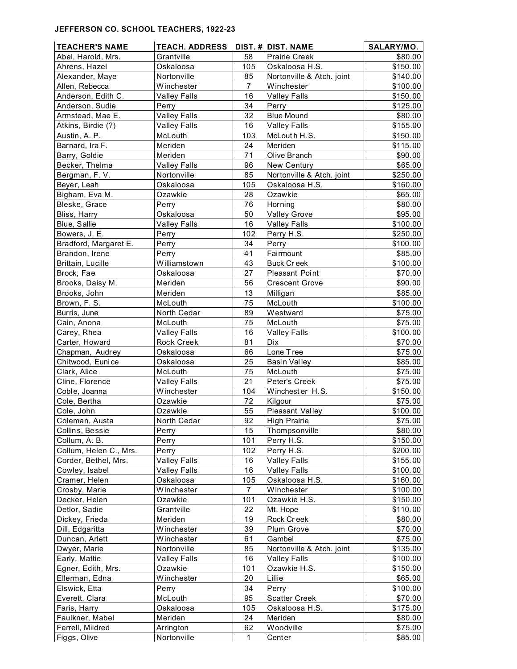#### **JEFFERSON CO. SCHOOL TEACHERS, 1922-23**

| <b>TEACHER'S NAME</b>  | TEACH. ADDRESS DIST. # DIST. NAME |                |                           | SALARY/MO. |
|------------------------|-----------------------------------|----------------|---------------------------|------------|
| Abel, Harold, Mrs.     | Grantville                        | 58             | Prairie Creek             | \$80.00    |
| Ahrens, Hazel          | Oskaloosa                         | 105            | Oskaloosa H.S.            | \$150.00   |
| Alexander, Maye        | Nortonville                       | 85             | Nortonville & Atch. joint | \$140.00   |
| Allen, Rebecca         | Winchester                        | $\overline{7}$ | Winchester                | \$100.00   |
| Anderson, Edith C.     | <b>Valley Falls</b>               | 16             | <b>Valley Falls</b>       | \$150.00   |
| Anderson, Sudie        | Perry                             | 34             | Perry                     | \$125.00   |
| Armstead, Mae E.       | <b>Valley Falls</b>               | 32             | <b>Blue Mound</b>         | \$80.00    |
| Atkins, Birdie (?)     | <b>Valley Falls</b>               | 16             | <b>Valley Falls</b>       | \$155.00   |
| Austin, A. P.          | McLouth                           | 103            | McLouth H.S.              | \$150.00   |
| Barnard, Ira F.        | Meriden                           | 24             | Meriden                   | \$115.00   |
| Barry, Goldie          | Meriden                           | 71             | Olive Branch              | \$90.00    |
| Becker, Thelma         | <b>Valley Falls</b>               | 96             | New Century               | \$65.00    |
| Bergman, F.V.          | Nortonville                       | 85             | Nortonville & Atch. joint | \$250.00   |
| Beyer, Leah            | Oskaloosa                         | 105            | Oskaloosa H.S.            | \$160.00   |
| Bigham, Eva M.         | Ozawkie                           | 28             | Ozawkie                   | \$65.00    |
| Bleske, Grace          | Perry                             | 76             | Horning                   | \$80.00    |
| Bliss, Harry           | Oskaloosa                         | 50             | <b>Valley Grove</b>       | \$95.00    |
| Blue, Sallie           | <b>Valley Falls</b>               | 16             | <b>Valley Falls</b>       | \$100.00   |
| Bowers, J. E.          | Perry                             | 102            | Perry H.S.                | \$250.00   |
| Bradford, Margaret E.  | Perry                             | 34             | Perry                     | \$100.00   |
| Brandon, Irene         | Perry                             | 41             | Fairmount                 | \$85.00    |
| Brittain, Lucille      | Williamstown                      | 43             | <b>Buck Creek</b>         | \$100.00   |
| Brock, Fae             | Oskaloosa                         | 27             | Pleasant Point            |            |
| Brooks, Daisy M.       | Meriden                           | 56             | <b>Crescent Grove</b>     | \$70.00    |
|                        |                                   |                |                           | \$90.00    |
| Brooks, John           | Meriden                           | 13             | Milligan                  | \$85.00    |
| Brown, F. S.           | McLouth                           | 75             | McLouth                   | \$100.00   |
| Burris, June           | North Cedar                       | 89             | Westward                  | \$75.00    |
| Cain, Anona            | McLouth                           | 75             | McLouth                   | \$75.00    |
| Carey, Rhea            | <b>Valley Falls</b>               | 16             | <b>Valley Falls</b>       | \$100.00   |
| Carter, Howard         | Rock Creek                        | 81             | Dix                       | \$70.00    |
| Chapman, Audrey        | Oskaloosa                         | 66             | Lone Tree                 | \$75.00    |
| Chitwood, Eunice       | Oskaloosa                         | 25             | <b>Basin Valley</b>       | \$85.00    |
| Clark, Alice           | McLouth                           | 75             | McLouth                   | \$75.00    |
| Cline, Florence        | <b>Valley Falls</b>               | 21             | Peter's Creek             | \$75.00    |
| Coble, Joanna          | Winchester                        | 104            | Winchester H.S.           | \$150.00   |
| Cole, Bertha           | Ozawkie                           | 72             | Kilgour                   | \$75.00    |
| Cole, John             | Ozawkie                           | 55             | Pleasant Valley           | \$100.00   |
| Coleman, Austa         | North Cedar                       | 92             | <b>High Prairie</b>       | \$75.00    |
| Collins, Bessie        | Perry                             | 15             | Thompsonville             | \$80.00    |
| Collum, A. B.          | Perry                             | 101            | Perry H.S.                | \$150.00   |
| Collum, Helen C., Mrs. | Perry                             | 102            | Perry H.S.                | \$200.00   |
| Corder, Bethel, Mrs.   | <b>Valley Falls</b>               | 16             | <b>Valley Falls</b>       | \$155.00   |
| Cowley, Isabel         | <b>Valley Falls</b>               | 16             | <b>Valley Falls</b>       | \$100.00   |
| Cramer, Helen          | Oskaloosa                         | 105            | Oskaloosa H.S.            | \$160.00   |
| Crosby, Marie          | Winchester                        | $\overline{7}$ | Winchester                | \$100.00   |
| Decker, Helen          | Ozawkie                           | 101            | Ozawkie H.S.              | \$150.00   |
| Detlor, Sadie          | Grantville                        | 22             | Mt. Hope                  | \$110.00   |
| Dickey, Frieda         | Meriden                           | 19             | Rock Creek                | \$80.00    |
| Dill, Edgaritta        | Winchester                        | 39             | Plum Grove                | \$70.00    |
| Duncan, Arlett         | Winchester                        | 61             | Gambel                    | \$75.00    |
| Dwyer, Marie           | Nortonville                       | 85             | Nortonville & Atch. joint | \$135.00   |
| Early, Mattie          | <b>Valley Falls</b>               | 16             | <b>Valley Falls</b>       | \$100.00   |
| Egner, Edith, Mrs.     | Ozawkie                           | 101            | Ozawkie H.S.              | \$150.00   |
| Ellerman, Edna         | Winchester                        | 20             | Lillie                    | \$65.00    |
| Elswick, Etta          | Perry                             | 34             | Perry                     | \$100.00   |
| Everett, Clara         | McLouth                           | 95             | <b>Scatter Creek</b>      | \$70.00    |
| Faris, Harry           | Oskaloosa                         | 105            | Oskaloosa H.S.            | \$175.00   |
| Faulkner, Mabel        | Meriden                           | 24             | Meriden                   | \$80.00    |
| Ferrell, Mildred       | Arrington                         | 62             | Woodville                 | \$75.00    |
| Figgs, Olive           | Nortonville                       | $\mathbf 1$    | Center                    | \$85.00    |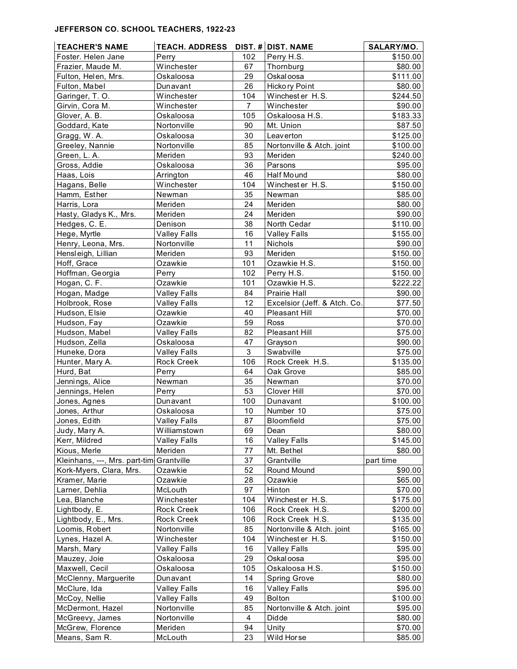#### **JEFFERSON CO. SCHOOL TEACHERS, 1922-23**

| <b>TEACHER'S NAME</b>         | <b>TEACH. ADDRESS</b>    |                | DIST. # DIST. NAME           | SALARY/MO.          |
|-------------------------------|--------------------------|----------------|------------------------------|---------------------|
| Foster. Helen Jane            | Perry                    | 102            | Perry H.S.                   | \$150.00            |
| Frazier, Maude M.             | Winchester               | 67             | Thornburg                    | \$80.00             |
| Fulton, Helen, Mrs.           | Oskaloosa                | 29             | Oskal oosa                   | \$111.00            |
| Fulton, Mabel                 | Dunavant                 | 26             | Hicko ry Point               | \$80.00             |
| Garinger, T. O.               | Winchester               | 104            | Winchester H.S.              | \$244.50            |
| Girvin, Cora M.               | Winchester               | $\overline{7}$ | Winchester                   | \$90.00             |
| Glover, A. B.                 | Oskaloosa                | 105            | Oskaloosa H.S.               | \$183.33            |
| Goddard, Kate                 | Nortonville              | 90             | Mt. Union                    | \$87.50             |
| Gragg, W.A.                   | Oskaloosa                | 30             | Leaverton                    | \$125.00            |
| Greeley, Nannie               | Nortonville              | 85             | Nortonville & Atch. joint    | \$100.00            |
| Green, L. A.                  | Meriden                  | 93             | Meriden                      | \$240.00            |
| Gross, Addie                  | Oskaloosa                | 36             | Parsons                      | \$95.00             |
| Haas, Lois                    | Arrington                | 46             | Half Mound                   | \$80.00             |
| Hagans, Belle                 | Winchester               | 104            | Winchester H.S.              | \$150.00            |
| Hamm, Esther                  | Newman                   | 35             | Newman                       | \$85.00             |
| Harris, Lora                  | Meriden                  | 24             | Meriden                      | \$80.00             |
| Hasty, Gladys K., Mrs.        | Meriden                  | 24             | Meriden                      | \$90.00             |
| Hedges, C. E.                 | Denison                  | 38             | North Cedar                  | \$110.00            |
| Hege, Myrtle                  | <b>Valley Falls</b>      | 16             | <b>Valley Falls</b>          | \$155.00            |
| Henry, Leona, Mrs.            | Nortonville              | 11             | Nichols                      | \$90.00             |
| Hensleigh, Lillian            | Meriden                  | 93             | Meriden                      | \$150.00            |
| Hoff, Grace                   | Ozawkie                  | 101            | Ozawkie H.S.                 | \$150.00            |
| Hoffman, Georgia              | Perry                    | 102            | Perry H.S.                   | \$150.00            |
| Hogan, C. F.                  | Ozawkie                  | 101            | Ozawkie H.S.                 | \$222.22            |
| Hogan, Madge                  | <b>Valley Falls</b>      | 84             | <b>Prairie Hall</b>          | \$90.00             |
| Holbrook, Rose                | <b>Valley Falls</b>      | 12             | Excelsior (Jeff. & Atch. Co. | \$77.50             |
| Hudson, Elsie                 | Ozawkie                  | 40             | <b>Pleasant Hill</b>         | \$70.00             |
| Hudson, Fay                   | Ozawkie                  | 59             | Ross                         | \$70.00             |
| Hudson, Mabel                 | <b>Valley Falls</b>      | 82             | Pleasant Hill                | \$75.00             |
| Hudson, Zella                 | Oskaloosa                | 47             | Grayson                      | \$90.00             |
| Huneke, Dora                  | <b>Valley Falls</b>      | 3              | Swabville                    | \$75.00             |
| Hunter, Mary A.               | Rock Creek               | 106            | Rock Creek H.S.              | \$135.00            |
| Hurd, Bat                     | Perry                    | 64             | Oak Grove                    | \$85.00             |
| Jennings, Alice               | Newman                   | 35             | Newman                       | \$70.00             |
| Jennings, Helen               | Perry                    | 53             | Clover Hill                  | \$70.00             |
| Jones, Agnes                  | Dunavant                 | 100            | Dunavant                     | \$100.00            |
| Jones, Arthur                 | Oskaloosa                | 10             | Number 10                    | \$75.00             |
| Jones, Edith                  | <b>Valley Falls</b>      | 87             | Bloomfield                   | \$75.00             |
| Judy, Mary A.                 | Williamstown             | 69             | Dean                         | \$80.00             |
| Kerr, Mildred                 | <b>Valley Falls</b>      | 16             | <b>Valley Falls</b>          | \$145.00            |
| Kious, Merle                  | Meriden                  | 77             | Mt. Bethel                   | \$80.00             |
| Kleinhans, ---, Mrs. part-tim | Grantville               | 37             | Grantville                   | part time           |
| Kork-Myers, Clara, Mrs.       | Ozawkie                  | 52             | Round Mound                  | \$90.00             |
| Kramer, Marie                 | Ozawkie                  | 28             | Ozawkie                      | \$65.00             |
| Larner, Dehlia                | McLouth                  | 97<br>104      | Hinton<br>Winchester H.S.    | \$70.00<br>\$175.00 |
| Lea, Blanche<br>Lightbody, E. | Winchester<br>Rock Creek | 106            | Rock Creek H.S.              | \$200.00            |
| Lightbody, E., Mrs.           | Rock Creek               | 106            | Rock Creek H.S.              | \$135.00            |
| Loomis, Robert                | Nortonville              | 85             | Nortonville & Atch. joint    | \$165.00            |
| Lynes, Hazel A.               | Winchester               | 104            | Winchester H.S.              | \$150.00            |
| Marsh, Mary                   | <b>Valley Falls</b>      | 16             | <b>Valley Falls</b>          | \$95.00             |
| Mauzey, Joie                  | Oskaloosa                | 29             | Oskal oosa                   | \$95.00             |
| Maxwell, Cecil                | Oskaloosa                | 105            | Oskaloosa H.S.               | \$150.00            |
| McClenny, Marguerite          | Dunavant                 | 14             | <b>Spring Grove</b>          | \$80.00             |
| McClure, Ida                  | <b>Valley Falls</b>      | 16             | <b>Valley Falls</b>          | \$95.00             |
| McCoy, Nellie                 | <b>Valley Falls</b>      | 49             | <b>Bolton</b>                | \$100.00            |
| McDermont, Hazel              | Nortonville              | 85             | Nortonville & Atch. joint    | \$95.00             |
| McGreevy, James               | Nortonville              | 4              | Didde                        | \$80.00             |
| McGrew, Florence              | Meriden                  | 94             | Unity                        | \$70.00             |
| Means, Sam R.                 | McLouth                  | 23             | Wild Horse                   | \$85.00             |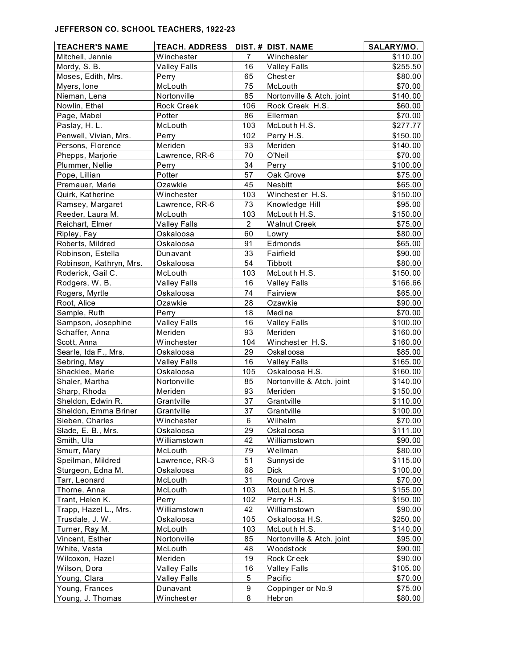#### **JEFFERSON CO. SCHOOL TEACHERS, 1922-23**

| <b>TEACHER'S NAME</b>   | TEACH. ADDRESS DIST. # DIST. NAME |                |                           | SALARY/MO. |
|-------------------------|-----------------------------------|----------------|---------------------------|------------|
| Mitchell, Jennie        | Winchester                        | 7              | Winchester                | \$110.00   |
| Mordy, S. B.            | <b>Valley Falls</b>               | 16             | <b>Valley Falls</b>       | \$255.50   |
| Moses, Edith, Mrs.      | Perry                             | 65             | Chester                   | \$80.00    |
| Myers, lone             | McLouth                           | 75             | McLouth                   | \$70.00    |
| Nieman, Lena            | Nortonville                       | 85             | Nortonville & Atch. joint | \$140.00   |
| Nowlin, Ethel           | Rock Creek                        | 106            | Rock Creek H.S.           | \$60.00    |
| Page, Mabel             | Potter                            | 86             | Ellerman                  | \$70.00    |
| Paslay, H. L.           | McLouth                           | 103            | McLouth H.S.              | \$277.77   |
| Penwell, Vivian, Mrs.   | Perry                             | 102            | Perry H.S.                | \$150.00   |
| Persons, Florence       | Meriden                           | 93             | Meriden                   | \$140.00   |
| Phepps, Marjorie        | Lawrence, RR-6                    | 70             | O'Neil                    | \$70.00    |
| Plummer, Nellie         | Perry                             | 34             | Perry                     | \$100.00   |
| Pope, Lillian           | Potter                            | 57             | Oak Grove                 | \$75.00    |
| Premauer, Marie         | Ozawkie                           | 45             | Nesbitt                   | \$65.00    |
| Quirk, Katherine        | Winchester                        | 103            | Winchester H.S.           | \$150.00   |
| Ramsey, Margaret        | Lawrence, RR-6                    | 73             | Knowledge Hill            | \$95.00    |
| Reeder, Laura M.        | McLouth                           | 103            | McLouth H.S.              | \$150.00   |
| Reichart, Elmer         | <b>Valley Falls</b>               | $\overline{2}$ | <b>Walnut Creek</b>       | \$75.00    |
| Ripley, Fay             | Oskaloosa                         | 60             | Lowry                     | \$80.00    |
| Roberts, Mildred        | Oskaloosa                         | 91             | Edmonds                   | \$65.00    |
| Robinson, Estella       | Dunavant                          | 33             | Fairfield                 | \$90.00    |
| Robinson, Kathryn, Mrs. | Oskaloosa                         | 54             | Tibbott                   | \$80.00    |
| Roderick, Gail C.       | McLouth                           | 103            | McLouth H.S.              | \$150.00   |
| Rodgers, W. B.          | <b>Valley Falls</b>               | 16             | <b>Valley Falls</b>       | \$166.66   |
| Rogers, Myrtle          | Oskaloosa                         | 74             | Fairview                  | \$65.00    |
| Root, Alice             | Ozawkie                           | 28             | Ozawkie                   | \$90.00    |
| Sample, Ruth            | Perry                             | 18             | Medina                    | \$70.00    |
| Sampson, Josephine      | <b>Valley Falls</b>               | 16             | <b>Valley Falls</b>       | \$100.00   |
| Schaffer, Anna          | Meriden                           | 93             | Meriden                   | \$160.00   |
| Scott, Anna             | Winchester                        | 104            | Winchester H.S.           | \$160.00   |
| Searle, Ida F., Mrs.    | Oskaloosa                         | 29             | Oskal oosa                | \$85.00    |
| Sebring, May            | <b>Valley Falls</b>               | 16             | <b>Valley Falls</b>       | \$165.00   |
| Shacklee, Marie         | Oskaloosa                         | 105            | Oskaloosa H.S.            | \$160.00   |
| Shaler, Martha          | Nortonville                       | 85             | Nortonville & Atch. joint | \$140.00   |
| Sharp, Rhoda            | Meriden                           | 93             | Meriden                   | \$150.00   |
| Sheldon, Edwin R.       | Grantville                        | 37             | Grantville                | \$110.00   |
| Sheldon, Emma Briner    | Grantville                        | 37             | Grantville                | \$100.00   |
| Sieben, Charles         | Winchester                        | 6              | Wilhelm                   | \$70.00    |
| Slade, E. B., Mrs.      | Oskaloosa                         | 29             | Oskal oosa                | \$111.00   |
| Smith, Ula              | Williamstown                      | 42             | Williamstown              | \$90.00    |
| Smurr, Mary             | McLouth                           | 79             | Wellman                   | \$80.00    |
| Speilman, Mildred       | Lawrence, RR-3                    | 51             | Sunnysi de                | \$115.00   |
| Sturgeon, Edna M.       | Oskaloosa                         | 68             | <b>Dick</b>               | \$100.00   |
| Tarr, Leonard           | McLouth                           | 31             | Round Grove               | \$70.00    |
| Thorne, Anna            | McLouth                           | 103            | McLouth H.S.              | \$155.00   |
| Trant, Helen K.         | Perry                             | 102            | Perry H.S.                | \$150.00   |
| Trapp, Hazel L., Mrs.   | Williamstown                      | 42             | Williamstown              | \$90.00    |
| Trusdale, J. W.         | Oskaloosa                         | 105            | Oskaloosa H.S.            | \$250.00   |
| Turner, Ray M.          | McLouth                           | 103            | McLouth H.S.              | \$140.00   |
| Vincent, Esther         | Nortonville                       | 85             | Nortonville & Atch. joint | \$95.00    |
| White, Vesta            | McLouth                           | 48             | Woodstock                 | \$90.00    |
| Wilcoxon, Hazel         | Meriden                           | 19             | Rock Creek                | \$90.00    |
| Wilson, Dora            | <b>Valley Falls</b>               | 16             | <b>Valley Falls</b>       | \$105.00   |
| Young, Clara            | <b>Valley Falls</b>               | 5              | Pacific                   | \$70.00    |
| Young, Frances          | Dunavant                          | 9              | Coppinger or No.9         | \$75.00    |
| Young, J. Thomas        | Winchest er                       | 8              | Hebron                    | \$80.00    |
|                         |                                   |                |                           |            |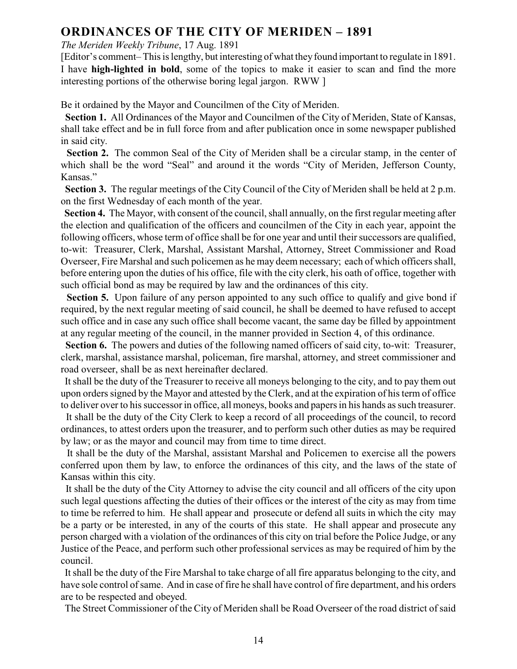### **ORDINANCES OF THE CITY OF MERIDEN – 1891**

#### *The Meriden Weekly Tribune*, 17 Aug. 1891

[Editor's comment–This is lengthy, but interesting of what they found important to regulate in 1891. I have **high-lighted in bold**, some of the topics to make it easier to scan and find the more interesting portions of the otherwise boring legal jargon. RWW ]

Be it ordained by the Mayor and Councilmen of the City of Meriden.

 **Section 1.** All Ordinances of the Mayor and Councilmen of the City of Meriden, State of Kansas, shall take effect and be in full force from and after publication once in some newspaper published in said city.

**Section 2.** The common Seal of the City of Meriden shall be a circular stamp, in the center of which shall be the word "Seal" and around it the words "City of Meriden, Jefferson County, Kansas."

 **Section 3.** The regular meetings of the City Council of the City of Meriden shall be held at 2 p.m. on the first Wednesday of each month of the year.

 **Section 4.** The Mayor, with consent of the council, shall annually, on the first regular meeting after the election and qualification of the officers and councilmen of the City in each year, appoint the following officers, whose term of office shall be for one year and until their successors are qualified, to-wit: Treasurer, Clerk, Marshal, Assistant Marshal, Attorney, Street Commissioner and Road Overseer, Fire Marshal and such policemen as he may deem necessary; each of which officers shall, before entering upon the duties of his office, file with the city clerk, his oath of office, together with such official bond as may be required by law and the ordinances of this city.

**Section 5.** Upon failure of any person appointed to any such office to qualify and give bond if required, by the next regular meeting of said council, he shall be deemed to have refused to accept such office and in case any such office shall become vacant, the same day be filled by appointment at any regular meeting of the council, in the manner provided in Section 4, of this ordinance.

**Section 6.** The powers and duties of the following named officers of said city, to-wit: Treasurer, clerk, marshal, assistance marshal, policeman, fire marshal, attorney, and street commissioner and road overseer, shall be as next hereinafter declared.

 It shall be the duty of the Treasurer to receive all moneys belonging to the city, and to pay them out upon orders signed by the Mayor and attested by the Clerk, and at the expiration of his term of office to deliver over to his successorin office, all moneys, books and papers in his hands as such treasurer.

 It shall be the duty of the City Clerk to keep a record of all proceedings of the council, to record ordinances, to attest orders upon the treasurer, and to perform such other duties as may be required by law; or as the mayor and council may from time to time direct.

 It shall be the duty of the Marshal, assistant Marshal and Policemen to exercise all the powers conferred upon them by law, to enforce the ordinances of this city, and the laws of the state of Kansas within this city.

It shall be the duty of the City Attorney to advise the city council and all officers of the city upon such legal questions affecting the duties of their offices or the interest of the city as may from time to time be referred to him. He shall appear and prosecute or defend all suits in which the city may be a party or be interested, in any of the courts of this state. He shall appear and prosecute any person charged with a violation of the ordinances of this city on trial before the Police Judge, or any Justice of the Peace, and perform such other professional services as may be required of him by the council.

 It shall be the duty of the Fire Marshal to take charge of all fire apparatus belonging to the city, and have sole control of same. And in case of fire he shall have control of fire department, and his orders are to be respected and obeyed.

The Street Commissioner of the City of Meriden shall be Road Overseer of the road district of said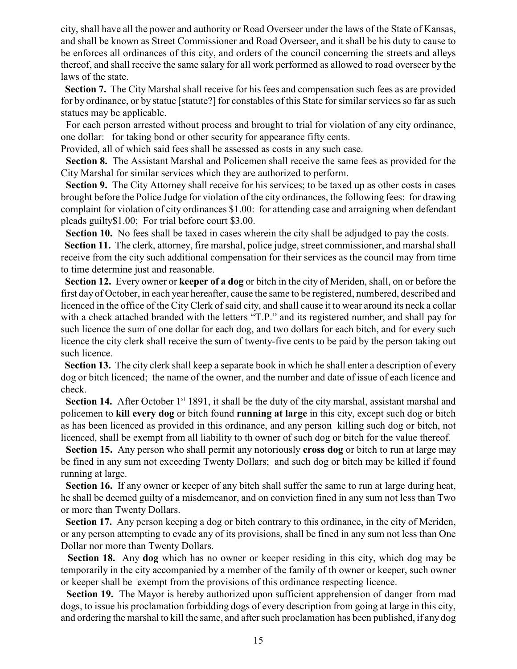city, shall have all the power and authority or Road Overseer under the laws of the State of Kansas, and shall be known as Street Commissioner and Road Overseer, and it shall be his duty to cause to be enforces all ordinances of this city, and orders of the council concerning the streets and alleys thereof, and shall receive the same salary for all work performed as allowed to road overseer by the laws of the state.

 **Section 7.** The City Marshal shall receive for his fees and compensation such fees as are provided for by ordinance, or by statue [statute?] for constables of this State for similar services so far as such statues may be applicable.

 For each person arrested without process and brought to trial for violation of any city ordinance, one dollar: for taking bond or other security for appearance fifty cents.

Provided, all of which said fees shall be assessed as costs in any such case.

 **Section 8.** The Assistant Marshal and Policemen shall receive the same fees as provided for the City Marshal for similar services which they are authorized to perform.

 **Section 9.** The City Attorney shall receive for his services; to be taxed up as other costs in cases brought before the Police Judge for violation of the city ordinances, the following fees: for drawing complaint for violation of city ordinances \$1.00: for attending case and arraigning when defendant pleads guilty\$1.00; For trial before court \$3.00.

**Section 10.** No fees shall be taxed in cases wherein the city shall be adjudged to pay the costs.

 **Section 11.** The clerk, attorney, fire marshal, police judge, street commissioner, and marshal shall receive from the city such additional compensation for their services as the council may from time to time determine just and reasonable.

 **Section 12.** Every owner or **keeper of a dog** or bitch in the city of Meriden, shall, on or before the first day of October, in each year hereafter, cause the same to be registered, numbered, described and licenced in the office of the City Clerk of said city, and shall cause it to wear around its neck a collar with a check attached branded with the letters "T.P." and its registered number, and shall pay for such licence the sum of one dollar for each dog, and two dollars for each bitch, and for every such licence the city clerk shall receive the sum of twenty-five cents to be paid by the person taking out such licence.

 **Section 13.** The city clerk shall keep a separate book in which he shall enter a description of every dog or bitch licenced; the name of the owner, and the number and date of issue of each licence and check.

**Section 14.** After October  $1<sup>st</sup> 1891$ , it shall be the duty of the city marshal, assistant marshal and policemen to **kill every dog** or bitch found **running at large** in this city, except such dog or bitch as has been licenced as provided in this ordinance, and any person killing such dog or bitch, not licenced, shall be exempt from all liability to th owner of such dog or bitch for the value thereof.

 **Section 15.** Any person who shall permit any notoriously **cross dog** or bitch to run at large may be fined in any sum not exceeding Twenty Dollars; and such dog or bitch may be killed if found running at large.

 **Section 16.** If any owner or keeper of any bitch shall suffer the same to run at large during heat, he shall be deemed guilty of a misdemeanor, and on conviction fined in any sum not less than Two or more than Twenty Dollars.

 **Section 17.** Any person keeping a dog or bitch contrary to this ordinance, in the city of Meriden, or any person attempting to evade any of its provisions, shall be fined in any sum not less than One Dollar nor more than Twenty Dollars.

 **Section 18.** Any **dog** which has no owner or keeper residing in this city, which dog may be temporarily in the city accompanied by a member of the family of th owner or keeper, such owner or keeper shall be exempt from the provisions of this ordinance respecting licence.

Section 19. The Mayor is hereby authorized upon sufficient apprehension of danger from mad dogs, to issue his proclamation forbidding dogs of every description from going at large in this city, and ordering the marshal to kill the same, and after such proclamation has been published, if any dog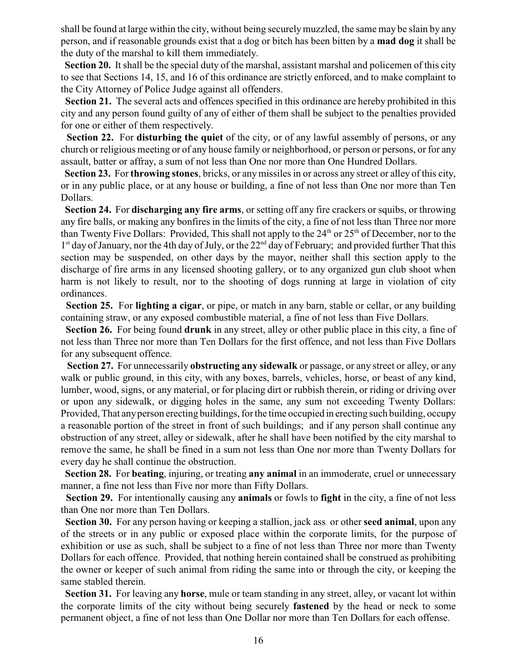shall be found at large within the city, without being securelymuzzled, the same may be slain by any person, and if reasonable grounds exist that a dog or bitch has been bitten by a **mad dog** it shall be the duty of the marshal to kill them immediately.

 **Section 20.** It shall be the special duty of the marshal, assistant marshal and policemen of this city to see that Sections 14, 15, and 16 of this ordinance are strictly enforced, and to make complaint to the City Attorney of Police Judge against all offenders.

 **Section 21.** The several acts and offences specified in this ordinance are hereby prohibited in this city and any person found guilty of any of either of them shall be subject to the penalties provided for one or either of them respectively.

 **Section 22.** For **disturbing the quiet** of the city, or of any lawful assembly of persons, or any church or religious meeting or of any house family or neighborhood, or person or persons, or for any assault, batter or affray, a sum of not less than One nor more than One Hundred Dollars.

 **Section 23.** For **throwing stones**, bricks, or any missiles in or across any street or alley of this city, or in any public place, or at any house or building, a fine of not less than One nor more than Ten Dollars.

 **Section 24.** For **discharging any fire arms**, or setting off any fire crackers or squibs, or throwing any fire balls, or making any bonfires in the limits of the city, a fine of not less than Three nor more than Twenty Five Dollars: Provided, This shall not apply to the  $24<sup>th</sup>$  or  $25<sup>th</sup>$  of December, nor to the  $1<sup>st</sup>$  day of January, nor the 4th day of July, or the 22<sup>nd</sup> day of February; and provided further That this section may be suspended, on other days by the mayor, neither shall this section apply to the discharge of fire arms in any licensed shooting gallery, or to any organized gun club shoot when harm is not likely to result, nor to the shooting of dogs running at large in violation of city ordinances.

 **Section 25.** For **lighting a cigar**, or pipe, or match in any barn, stable or cellar, or any building containing straw, or any exposed combustible material, a fine of not less than Five Dollars.

 **Section 26.** For being found **drunk** in any street, alley or other public place in this city, a fine of not less than Three nor more than Ten Dollars for the first offence, and not less than Five Dollars for any subsequent offence.

 **Section 27.** For unnecessarily **obstructing any sidewalk** or passage, or any street or alley, or any walk or public ground, in this city, with any boxes, barrels, vehicles, horse, or beast of any kind, lumber, wood, signs, or any material, or for placing dirt or rubbish therein, or riding or driving over or upon any sidewalk, or digging holes in the same, any sum not exceeding Twenty Dollars: Provided, That any person erecting buildings, for the time occupied in erecting such building, occupy a reasonable portion of the street in front of such buildings; and if any person shall continue any obstruction of any street, alley or sidewalk, after he shall have been notified by the city marshal to remove the same, he shall be fined in a sum not less than One nor more than Twenty Dollars for every day he shall continue the obstruction.

 **Section 28.** For **beating**, injuring, or treating **any animal** in an immoderate, cruel or unnecessary manner, a fine not less than Five nor more than Fifty Dollars.

 **Section 29.** For intentionally causing any **animals** or fowls to **fight** in the city, a fine of not less than One nor more than Ten Dollars.

 **Section 30.** For any person having or keeping a stallion, jack ass or other **seed animal**, upon any of the streets or in any public or exposed place within the corporate limits, for the purpose of exhibition or use as such, shall be subject to a fine of not less than Three nor more than Twenty Dollars for each offence. Provided, that nothing herein contained shall be construed as prohibiting the owner or keeper of such animal from riding the same into or through the city, or keeping the same stabled therein.

 **Section 31.** For leaving any **horse**, mule or team standing in any street, alley, or vacant lot within the corporate limits of the city without being securely **fastened** by the head or neck to some permanent object, a fine of not less than One Dollar nor more than Ten Dollars for each offense.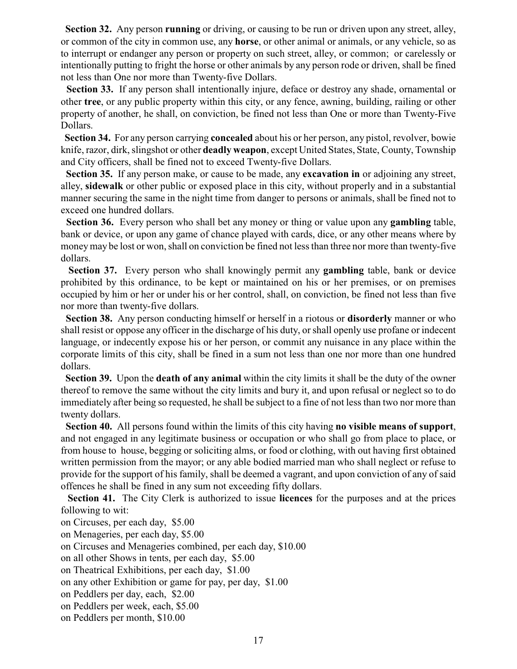**Section 32.** Any person **running** or driving, or causing to be run or driven upon any street, alley, or common of the city in common use, any **horse**, or other animal or animals, or any vehicle, so as to interrupt or endanger any person or property on such street, alley, or common; or carelessly or intentionally putting to fright the horse or other animals by any person rode or driven, shall be fined not less than One nor more than Twenty-five Dollars.

 **Section 33.** If any person shall intentionally injure, deface or destroy any shade, ornamental or other **tree**, or any public property within this city, or any fence, awning, building, railing or other property of another, he shall, on conviction, be fined not less than One or more than Twenty-Five Dollars.

 **Section 34.** For any person carrying **concealed** about his or her person, any pistol, revolver, bowie knife, razor, dirk, slingshot or other **deadly weapon**, except United States, State, County, Township and City officers, shall be fined not to exceed Twenty-five Dollars.

 **Section 35.** If any person make, or cause to be made, any **excavation in** or adjoining any street, alley, **sidewalk** or other public or exposed place in this city, without properly and in a substantial manner securing the same in the night time from danger to persons or animals, shall be fined not to exceed one hundred dollars.

 **Section 36.** Every person who shall bet any money or thing or value upon any **gambling** table, bank or device, or upon any game of chance played with cards, dice, or any other means where by money may be lost or won, shall on conviction be fined not less than three nor more than twenty-five dollars.

 **Section 37.** Every person who shall knowingly permit any **gambling** table, bank or device prohibited by this ordinance, to be kept or maintained on his or her premises, or on premises occupied by him or her or under his or her control, shall, on conviction, be fined not less than five nor more than twenty-five dollars.

 **Section 38.** Any person conducting himself or herself in a riotous or **disorderly** manner or who shall resist or oppose any officer in the discharge of his duty, or shall openly use profane or indecent language, or indecently expose his or her person, or commit any nuisance in any place within the corporate limits of this city, shall be fined in a sum not less than one nor more than one hundred dollars.

 **Section 39.** Upon the **death of any animal** within the city limits it shall be the duty of the owner thereof to remove the same without the city limits and bury it, and upon refusal or neglect so to do immediately after being so requested, he shall be subject to a fine of not less than two nor more than twenty dollars.

 **Section 40.** All persons found within the limits of this city having **no visible means of support**, and not engaged in any legitimate business or occupation or who shall go from place to place, or from house to house, begging or soliciting alms, or food or clothing, with out having first obtained written permission from the mayor; or any able bodied married man who shall neglect or refuse to provide for the support of his family, shall be deemed a vagrant, and upon conviction of any of said offences he shall be fined in any sum not exceeding fifty dollars.

 **Section 41.** The City Clerk is authorized to issue **licences** for the purposes and at the prices following to wit:

on Circuses, per each day, \$5.00

on Menageries, per each day, \$5.00

on Circuses and Menageries combined, per each day, \$10.00

on all other Shows in tents, per each day, \$5.00

on Theatrical Exhibitions, per each day, \$1.00

on any other Exhibition or game for pay, per day, \$1.00

on Peddlers per day, each, \$2.00

on Peddlers per week, each, \$5.00

on Peddlers per month, \$10.00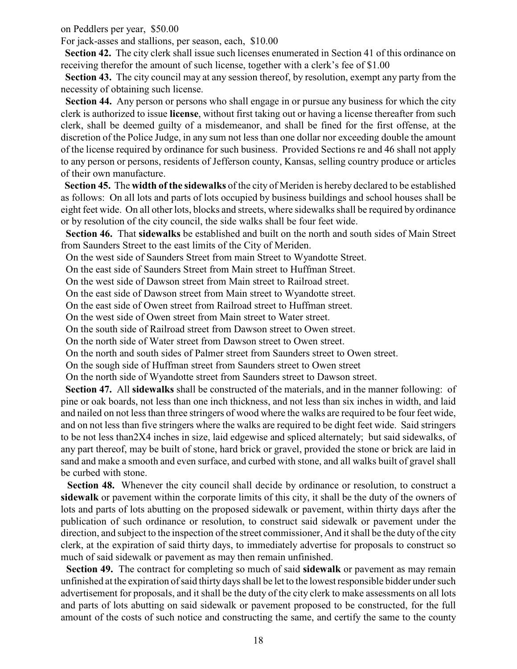on Peddlers per year, \$50.00

For jack-asses and stallions, per season, each, \$10.00

 **Section 42.** The city clerk shall issue such licenses enumerated in Section 41 of this ordinance on receiving therefor the amount of such license, together with a clerk's fee of \$1.00

 **Section 43.** The city council may at any session thereof, by resolution, exempt any party from the necessity of obtaining such license.

 **Section 44.** Any person or persons who shall engage in or pursue any business for which the city clerk is authorized to issue **license**, without first taking out or having a license thereafter from such clerk, shall be deemed guilty of a misdemeanor, and shall be fined for the first offense, at the discretion of the Police Judge, in any sum not less than one dollar nor exceeding double the amount of the license required by ordinance for such business. Provided Sections re and 46 shall not apply to any person or persons, residents of Jefferson county, Kansas, selling country produce or articles of their own manufacture.

 **Section 45.** The **width of the sidewalks** of the city of Meriden is hereby declared to be established as follows: On all lots and parts of lots occupied by business buildings and school houses shall be eight feet wide. On all other lots, blocks and streets, where sidewalks shall be required by ordinance or by resolution of the city council, the side walks shall be four feet wide.

 **Section 46.** That **sidewalks** be established and built on the north and south sides of Main Street from Saunders Street to the east limits of the City of Meriden.

On the west side of Saunders Street from main Street to Wyandotte Street.

On the east side of Saunders Street from Main street to Huffman Street.

On the west side of Dawson street from Main street to Railroad street.

On the east side of Dawson street from Main street to Wyandotte street.

On the east side of Owen street from Railroad street to Huffman street.

On the west side of Owen street from Main street to Water street.

On the south side of Railroad street from Dawson street to Owen street.

On the north side of Water street from Dawson street to Owen street.

On the north and south sides of Palmer street from Saunders street to Owen street.

On the sough side of Huffman street from Saunders street to Owen street

On the north side of Wyandotte street from Saunders street to Dawson street.

 **Section 47.** All **sidewalks** shall be constructed of the materials, and in the manner following: of pine or oak boards, not less than one inch thickness, and not less than six inches in width, and laid and nailed on not less than three stringers of wood where the walks are required to be four feet wide, and on not less than five stringers where the walks are required to be dight feet wide. Said stringers to be not less than2X4 inches in size, laid edgewise and spliced alternately; but said sidewalks, of any part thereof, may be built of stone, hard brick or gravel, provided the stone or brick are laid in sand and make a smooth and even surface, and curbed with stone, and all walks built of gravel shall be curbed with stone.

 **Section 48.** Whenever the city council shall decide by ordinance or resolution, to construct a **sidewalk** or pavement within the corporate limits of this city, it shall be the duty of the owners of lots and parts of lots abutting on the proposed sidewalk or pavement, within thirty days after the publication of such ordinance or resolution, to construct said sidewalk or pavement under the direction, and subject to the inspection of the street commissioner, And it shall be the duty of the city clerk, at the expiration of said thirty days, to immediately advertise for proposals to construct so much of said sidewalk or pavement as may then remain unfinished.

 **Section 49.** The contract for completing so much of said **sidewalk** or pavement as may remain unfinished at the expiration of said thirty days shall be let to the lowest responsible bidder under such advertisement for proposals, and it shall be the duty of the city clerk to make assessments on all lots and parts of lots abutting on said sidewalk or pavement proposed to be constructed, for the full amount of the costs of such notice and constructing the same, and certify the same to the county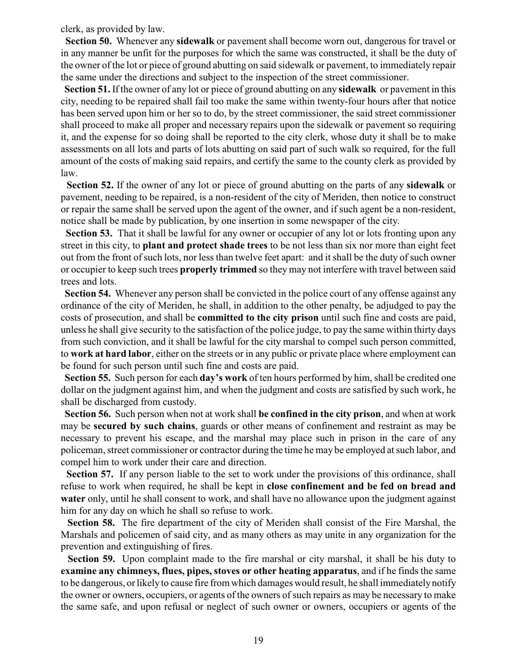clerk, as provided by law.

 **Section 50.** Whenever any **sidewalk** or pavement shall become worn out, dangerous for travel or in any manner be unfit for the purposes for which the same was constructed, it shall be the duty of the owner of the lot or piece of ground abutting on said sidewalk or pavement, to immediately repair the same under the directions and subject to the inspection of the street commissioner.

 **Section 51.** If the owner of any lot or piece of ground abutting on any **sidewalk** or pavement in this city, needing to be repaired shall fail too make the same within twenty-four hours after that notice has been served upon him or her so to do, by the street commissioner, the said street commissioner shall proceed to make all proper and necessary repairs upon the sidewalk or pavement so requiring it, and the expense for so doing shall be reported to the city clerk, whose duty it shall be to make assessments on all lots and parts of lots abutting on said part of such walk so required, for the full amount of the costs of making said repairs, and certify the same to the county clerk as provided by law.

 **Section 52.** If the owner of any lot or piece of ground abutting on the parts of any **sidewalk** or pavement, needing to be repaired, is a non-resident of the city of Meriden, then notice to construct or repair the same shall be served upon the agent of the owner, and if such agent be a non-resident, notice shall be made by publication, by one insertion in some newspaper of the city.

**Section 53.** That it shall be lawful for any owner or occupier of any lot or lots fronting upon any street in this city, to **plant and protect shade trees** to be not less than six nor more than eight feet out from the front of such lots, nor less than twelve feet apart: and it shall be the duty of such owner or occupier to keep such trees **properly trimmed** so they may not interfere with travel between said trees and lots.

 **Section 54.** Whenever any person shall be convicted in the police court of any offense against any ordinance of the city of Meriden, he shall, in addition to the other penalty, be adjudged to pay the costs of prosecution, and shall be **committed to the city prison** until such fine and costs are paid, unless he shall give security to the satisfaction of the police judge, to pay the same within thirty days from such conviction, and it shall be lawful for the city marshal to compel such person committed, to **work at hard labor**, either on the streets or in any public or private place where employment can be found for such person until such fine and costs are paid.

 **Section 55.** Such person for each **day's work** of ten hours performed by him, shall be credited one dollar on the judgment against him, and when the judgment and costs are satisfied by such work, he shall be discharged from custody.

 **Section 56.** Such person when not at work shall **be confined in the city prison**, and when at work may be **secured by such chains**, guards or other means of confinement and restraint as may be necessary to prevent his escape, and the marshal may place such in prison in the care of any policeman, street commissioner or contractor during the time he may be employed at such labor, and compel him to work under their care and direction.

 **Section 57.** If any person liable to the set to work under the provisions of this ordinance, shall refuse to work when required, he shall be kept in **close confinement and be fed on bread and water** only, until he shall consent to work, and shall have no allowance upon the judgment against him for any day on which he shall so refuse to work.

 **Section 58.** The fire department of the city of Meriden shall consist of the Fire Marshal, the Marshals and policemen of said city, and as many others as may unite in any organization for the prevention and extinguishing of fires.

 **Section 59.** Upon complaint made to the fire marshal or city marshal, it shall be his duty to **examine any chimneys, flues, pipes, stoves or other heating apparatus**, and if he finds the same to be dangerous, or likely to cause fire from which damages would result, he shall immediately notify the owner or owners, occupiers, or agents of the owners of such repairs as may be necessary to make the same safe, and upon refusal or neglect of such owner or owners, occupiers or agents of the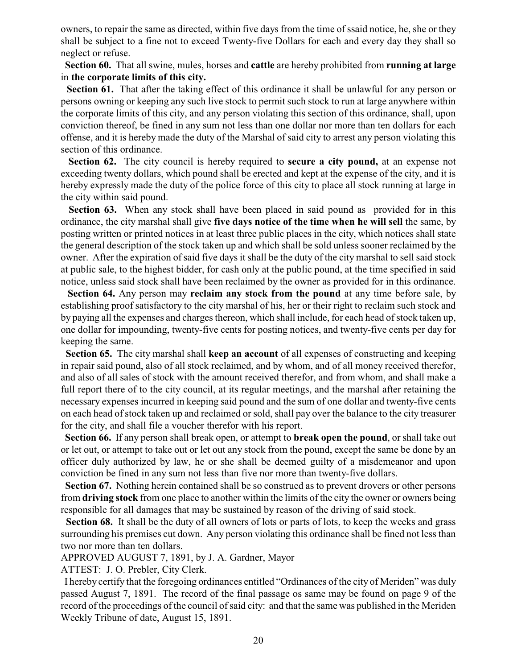owners, to repair the same as directed, within five days from the time of ssaid notice, he, she or they shall be subject to a fine not to exceed Twenty-five Dollars for each and every day they shall so neglect or refuse.

 **Section 60.** That all swine, mules, horses and **cattle** are hereby prohibited from **running at large** in **the corporate limits of this city.**

**Section 61.** That after the taking effect of this ordinance it shall be unlawful for any person or persons owning or keeping any such live stock to permit such stock to run at large anywhere within the corporate limits of this city, and any person violating this section of this ordinance, shall, upon conviction thereof, be fined in any sum not less than one dollar nor more than ten dollars for each offense, and it is hereby made the duty of the Marshal of said city to arrest any person violating this section of this ordinance.

 **Section 62.** The city council is hereby required to **secure a city pound,** at an expense not exceeding twenty dollars, which pound shall be erected and kept at the expense of the city, and it is hereby expressly made the duty of the police force of this city to place all stock running at large in the city within said pound.

**Section 63.** When any stock shall have been placed in said pound as provided for in this ordinance, the city marshal shall give **five days notice of the time when he will sell** the same, by posting written or printed notices in at least three public places in the city, which notices shall state the general description of the stock taken up and which shall be sold unless sooner reclaimed by the owner. After the expiration of said five days it shall be the duty of the city marshal to sell said stock at public sale, to the highest bidder, for cash only at the public pound, at the time specified in said notice, unless said stock shall have been reclaimed by the owner as provided for in this ordinance.

 **Section 64.** Any person may **reclaim any stock from the pound** at any time before sale, by establishing proof satisfactory to the city marshal of his, her or their right to reclaim such stock and by paying all the expenses and charges thereon, which shall include, for each head of stock taken up, one dollar for impounding, twenty-five cents for posting notices, and twenty-five cents per day for keeping the same.

 **Section 65.** The city marshal shall **keep an account** of all expenses of constructing and keeping in repair said pound, also of all stock reclaimed, and by whom, and of all money received therefor, and also of all sales of stock with the amount received therefor, and from whom, and shall make a full report there of to the city council, at its regular meetings, and the marshal after retaining the necessary expenses incurred in keeping said pound and the sum of one dollar and twenty-five cents on each head of stock taken up and reclaimed or sold, shall pay over the balance to the city treasurer for the city, and shall file a voucher therefor with his report.

 **Section 66.** If any person shall break open, or attempt to **break open the pound**, or shall take out or let out, or attempt to take out or let out any stock from the pound, except the same be done by an officer duly authorized by law, he or she shall be deemed guilty of a misdemeanor and upon conviction be fined in any sum not less than five nor more than twenty-five dollars.

 **Section 67.** Nothing herein contained shall be so construed as to prevent drovers or other persons from **driving stock** from one place to another within the limits of the city the owner or owners being responsible for all damages that may be sustained by reason of the driving of said stock.

 **Section 68.** It shall be the duty of all owners of lots or parts of lots, to keep the weeks and grass surrounding his premises cut down. Any person violating this ordinance shall be fined not less than two nor more than ten dollars.

APPROVED AUGUST 7, 1891, by J. A. Gardner, Mayor

ATTEST: J. O. Prebler, City Clerk.

 I hereby certify that the foregoing ordinances entitled "Ordinances of the city of Meriden" was duly passed August 7, 1891. The record of the final passage os same may be found on page 9 of the record of the proceedings of the council of said city: and that the same was published in the Meriden Weekly Tribune of date, August 15, 1891.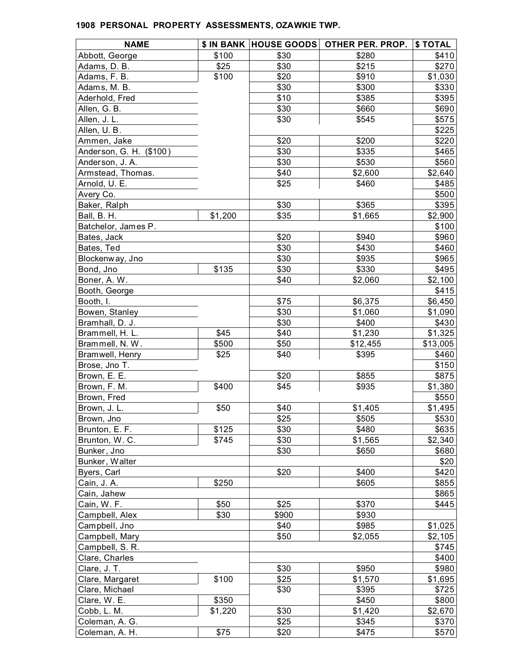| <b>NAME</b>             |         | <b>\$ IN BANK  HOUSE GOODS </b> | OTHER PER. PROP. | \$TOTAL  |
|-------------------------|---------|---------------------------------|------------------|----------|
| Abbott, George          | \$100   | \$30                            | \$280            | \$410    |
| Adams, D. B.            | \$25    | \$30                            | \$215            | \$270    |
| Adams, F. B.            | \$100   | \$20                            | \$910            | \$1,030  |
| Adams, M. B.            |         | \$30                            | \$300            | \$330    |
| Aderhold, Fred          |         | \$10                            | \$385            | \$395    |
| Allen, G. B.            |         | \$30                            | \$660            | \$690    |
| Allen, J. L.            |         | \$30                            | \$545            | \$575    |
| Allen, U.B.             |         |                                 |                  | \$225    |
| Ammen, Jake             |         | \$20                            | \$200            | \$220    |
| Anderson, G. H. (\$100) |         | \$30                            | \$335            | \$465    |
| Anderson, J. A.         |         | \$30                            | \$530            | \$560    |
| Armstead, Thomas.       |         | \$40                            | \$2,600          | \$2,640  |
| Arnold, U. E.           |         | \$25                            | \$460            | \$485    |
| Avery Co.               |         |                                 |                  | \$500    |
| Baker, Ralph            |         | \$30                            | \$365            | \$395    |
| Ball, B. H.             | \$1,200 | \$35                            | \$1,665          | \$2,900  |
| Batchelor, James P.     |         |                                 |                  | \$100    |
| Bates, Jack             |         | \$20                            | \$940            | \$960    |
| Bates, Ted              |         | \$30                            | \$430            | \$460    |
| Blockenway, Jno         |         | \$30                            | \$935            | \$965    |
| Bond, Jno               | \$135   | \$30                            | \$330            | \$495    |
| Boner, A.W.             |         | \$40                            | \$2,060          | \$2,100  |
| Booth, George           |         |                                 |                  | \$415    |
| Booth, I.               |         | \$75                            | \$6,375          | \$6,450  |
| Bowen, Stanley          |         | \$30                            | \$1,060          | \$1,090  |
| Bramhall, D. J.         |         | \$30                            | \$400            | \$430    |
| Brammell, H. L.         | \$45    | \$40                            | \$1,230          | \$1,325  |
| Brammell, N.W.          | \$500   | \$50                            | \$12,455         | \$13,005 |
| Bramwell, Henry         | \$25    | \$40                            | \$395            | \$460    |
| Brose, Jno T.           |         |                                 |                  | \$150    |
| Brown, E. E.            |         | \$20                            | \$855            | \$875    |
| Brown, F. M.            | \$400   | \$45                            | \$935            | \$1,380  |
| Brown, Fred             |         |                                 |                  | \$550    |
| Brown, J. L.            | \$50    | \$40                            | \$1,405          | \$1,495  |
| Brown, Jno              |         | \$25                            | \$505            | \$530    |
| Brunton, E. F.          | \$125   | \$30                            | \$480            | \$635    |
| Brunton, W.C.           | \$745   | \$30                            | \$1,565          | \$2,340  |
| Bunker, Jno             |         | \$30                            | \$650            | \$680    |
| Bunker, Walter          |         |                                 |                  | \$20     |
| Byers, Carl             |         | \$20                            | \$400            | \$420    |
| Cain, J. A.             | \$250   |                                 | \$605            | \$855    |
| Cain, Jahew             |         |                                 |                  | \$865    |
| Cain, W. F.             | \$50    | \$25                            | \$370            | \$445    |
| Campbell, Alex          | \$30    | \$900                           | \$930            |          |
| Campbell, Jno           |         | \$40                            | \$985            | \$1,025  |
| Campbell, Mary          |         | \$50                            | \$2,055          | \$2,105  |
| Campbell, S. R.         |         |                                 |                  | \$745    |
| Clare, Charles          |         |                                 |                  | \$400    |
| Clare, J. T.            |         | \$30                            | \$950            | \$980    |
| Clare, Margaret         | \$100   | \$25                            | \$1,570          | \$1,695  |
| Clare, Michael          |         | \$30                            | \$395            | \$725    |
| Clare, W. E.            | \$350   |                                 | \$450            | \$800    |
| Cobb, L. M.             | \$1,220 | \$30                            | \$1,420          | \$2,670  |
| Coleman, A. G.          |         | \$25                            | \$345            | \$370    |
| Coleman, A. H.          | \$75    | \$20                            | \$475            | \$570    |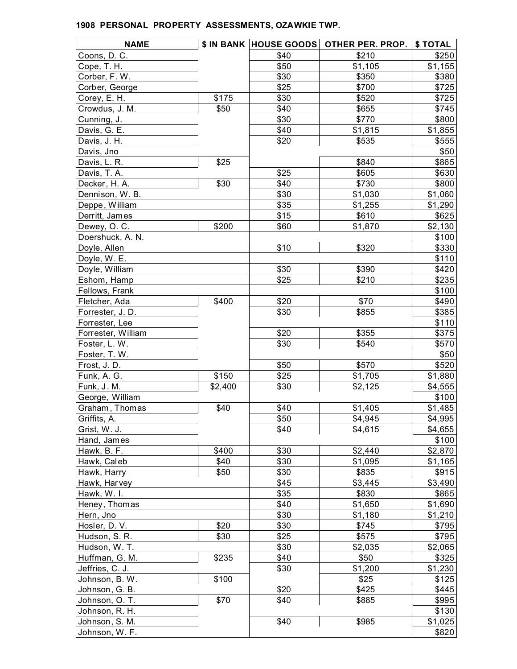| <b>NAME</b>        |               | \$ IN BANK  HOUSE GOODS | OTHER PER. PROP. | \$ TOTAL |
|--------------------|---------------|-------------------------|------------------|----------|
| Coons, D. C.       |               | \$40                    | \$210            | \$250    |
| Cope, T. H.        |               | \$50                    | \$1,105          | \$1,155  |
| Corber, F. W.      |               | \$30                    | \$350            | \$380    |
| Corber, George     |               | \$25                    | \$700            | \$725    |
| Corey, E. H.       | \$175         | \$30                    | \$520            | \$725    |
| Crowdus, J. M.     | \$50          | \$40                    | \$655            | \$745    |
| Cunning, J.        |               | \$30                    | \$770            | \$800    |
| Davis, G. E.       |               | \$40                    | \$1,815          | \$1,855  |
| Davis, J. H.       |               | \$20                    | \$535            | \$555    |
| Davis, Jno         |               |                         |                  | \$50     |
| Davis, L. R.       | \$25          |                         | \$840            | \$865    |
| Davis, T. A.       |               | \$25                    | \$605            | \$630    |
| Decker, H. A.      | \$30          | \$40                    | \$730            | \$800    |
| Dennison, W.B.     |               | \$30                    | \$1,030          | \$1,060  |
| Deppe, William     |               | \$35                    | \$1,255          | \$1,290  |
| Derritt, James     |               | \$15                    | \$610            | \$625    |
| Dewey, O.C.        | \$200         | \$60                    | \$1,870          | \$2,130  |
| Doershuck, A. N.   |               |                         |                  | \$100    |
| Doyle, Allen       |               | \$10                    | \$320            | \$330    |
| Doyle, W. E.       |               |                         |                  | \$110    |
| Doyle, William     |               | \$30                    | \$390            | \$420    |
| Eshom, Hamp        |               | \$25                    | \$210            | \$235    |
| Fellows, Frank     |               |                         |                  | \$100    |
| Fletcher, Ada      | \$400         | \$20                    | \$70             | \$490    |
| Forrester, J. D.   |               | \$30                    | \$855            | \$385    |
| Forrester, Lee     |               |                         |                  | \$110    |
| Forrester, William |               | \$20                    | \$355            | \$375    |
| Foster, L. W.      |               | \$30                    | \$540            | \$570    |
| Foster, T. W.      |               |                         |                  | \$50     |
| Frost, J.D.        |               | \$50                    | \$570            | \$520    |
| Funk, A. G.        | \$150         | \$25                    | \$1,705          | \$1,880  |
| Funk, J. M.        | \$2,400       | \$30                    | \$2,125          | \$4,555  |
| George, William    |               |                         |                  | \$100    |
| Graham, Thomas     | \$40          | \$40                    | \$1,405          | \$1,485  |
| Griffits, A.       |               | \$50                    | \$4,945          | \$4,995  |
| Grist, W. J.       |               | \$40                    | \$4,615          | \$4,655  |
|                    |               |                         |                  | \$100    |
| Hand, James        |               | \$30                    |                  |          |
| Hawk, B. F.        | \$400<br>\$40 | \$30                    | \$2,440          | \$2,870  |
| Hawk, Caleb        |               |                         | \$1,095          | \$1,165  |
| Hawk, Harry        | \$50          | \$30                    | \$835            | \$915    |
| Hawk, Harvey       |               | \$45                    | \$3,445          | \$3,490  |
| Hawk, W. I.        |               | \$35                    | \$830            | \$865    |
| Heney, Thomas      |               | \$40                    | \$1,650          | \$1,690  |
| Hern, Jno          |               | \$30                    | \$1,180          | \$1,210  |
| Hosler, D. V.      | \$20          | \$30                    | \$745            | \$795    |
| Hudson, S. R.      | \$30          | \$25                    | \$575            | \$795    |
| Hudson, W. T.      |               | \$30                    | \$2,035          | \$2,065  |
| Huffman, G. M.     | \$235         | \$40                    | \$50             | \$325    |
| Jeffries, C. J.    |               | \$30                    | \$1,200          | \$1,230  |
| Johnson, B. W.     | \$100         |                         | \$25             | \$125    |
| Johnson, G. B.     |               | \$20                    | \$425            | \$445    |
| Johnson, O. T.     | \$70          | \$40                    | \$885            | \$995    |
| Johnson, R. H.     |               |                         |                  | \$130    |
| Johnson, S. M.     |               | \$40                    | \$985            | \$1,025  |
| Johnson, W. F.     |               |                         |                  | \$820    |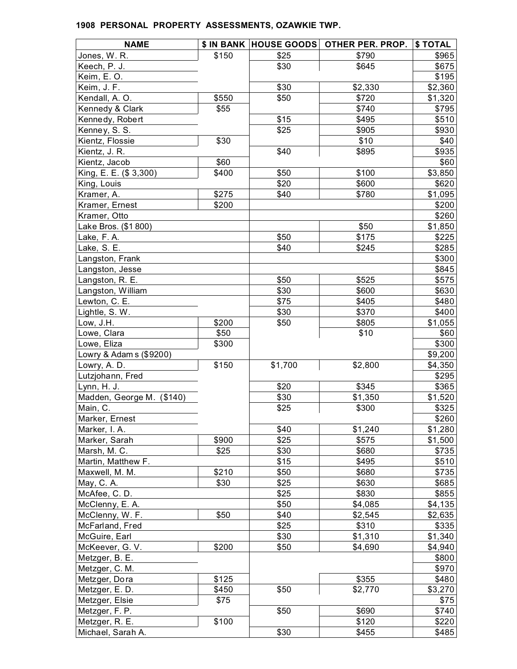| <b>NAME</b>               |       |         | \$ IN BANK HOUSE GOODS OTHER PER. PROP. | \$TOTAL |
|---------------------------|-------|---------|-----------------------------------------|---------|
| Jones, W. R.              | \$150 | \$25    | \$790                                   | \$965   |
| Keech, P. J.              |       | \$30    | \$645                                   | \$675   |
| Keim, E.O.                |       |         |                                         | \$195   |
| Keim, J. F.               |       | \$30    | \$2,330                                 | \$2,360 |
| Kendall, A. O.            | \$550 | \$50    | \$720                                   | \$1,320 |
| Kennedy & Clark           | \$55  |         | \$740                                   | \$795   |
| Kennedy, Robert           |       | \$15    | \$495                                   | \$510   |
| Kenney, S. S.             |       | \$25    | \$905                                   | \$930   |
| Kientz, Flossie           | \$30  |         | \$10                                    | \$40    |
| Kientz, J. R.             |       | \$40    | \$895                                   | \$935   |
| Kientz, Jacob             | \$60  |         |                                         | \$60    |
| King, E. E. (\$ 3,300)    | \$400 | \$50    | \$100                                   | \$3,850 |
| King, Louis               |       | \$20    | \$600                                   | \$620   |
| Kramer, A.                | \$275 | \$40    | \$780                                   | \$1,095 |
| Kramer, Ernest            | \$200 |         |                                         | \$200   |
| Kramer, Otto              |       |         |                                         | \$260   |
| Lake Bros. (\$1800)       |       |         | \$50                                    | \$1,850 |
| Lake, F.A.                |       | \$50    | \$175                                   | \$225   |
| Lake, S. E.               |       | \$40    | \$245                                   | \$285   |
| Langston, Frank           |       |         |                                         | \$300   |
| Langston, Jesse           |       |         |                                         | \$845   |
| Langston, R. E.           |       | \$50    | \$525                                   | \$575   |
| Langston, William         |       | \$30    | \$600                                   | \$630   |
| Lewton, C. E.             |       | \$75    | \$405                                   | \$480   |
| Lightle, S. W.            |       | \$30    | \$370                                   | \$400   |
| Low, J.H.                 | \$200 | \$50    | \$805                                   | \$1,055 |
| Lowe, Clara               | \$50  |         | \$10                                    | \$60    |
| Lowe, Eliza               | \$300 |         |                                         | \$300   |
| Lowry & Adam s (\$9200)   |       |         |                                         | \$9,200 |
| Lowry, A. D.              | \$150 | \$1,700 | \$2,800                                 | \$4,350 |
| Lutzjohann, Fred          |       |         |                                         | \$295   |
| Lynn, H. J.               |       | \$20    | \$345                                   | \$365   |
| Madden, George M. (\$140) |       | \$30    | \$1,350                                 | \$1,520 |
| Main, C.                  |       | \$25    | \$300                                   | \$325   |
| Marker, Ernest            |       |         |                                         | \$260   |
| Marker, I.A.              |       | \$40    | \$1,240                                 | \$1,280 |
| Marker, Sarah             | \$900 | \$25    | \$575                                   | \$1,500 |
| Marsh, M. C.              | \$25  | \$30    | \$680                                   | \$735   |
| Martin, Matthew F.        |       | \$15    | \$495                                   | \$510   |
| Maxwell, M. M.            | \$210 | \$50    | \$680                                   | \$735   |
| May, C. A.                | \$30  | \$25    | \$630                                   | \$685   |
| McAfee, C.D.              |       | \$25    | \$830                                   | \$855   |
| McClenny, E. A.           |       | \$50    | \$4,085                                 | \$4,135 |
| McClenny, W. F.           | \$50  | \$40    | \$2,545                                 | \$2,635 |
| McFarland, Fred           |       | \$25    | \$310                                   | \$335   |
| McGuire, Earl             |       | \$30    | \$1,310                                 | \$1,340 |
| McKeever, G. V.           | \$200 | \$50    | \$4,690                                 | \$4,940 |
| Metzger, B. E.            |       |         |                                         | \$800   |
|                           |       |         |                                         |         |
| Metzger, C. M.            |       |         |                                         | \$970   |
| Metzger, Dora             | \$125 |         | \$355                                   | \$480   |
| Metzger, E. D.            | \$450 | \$50    | \$2,770                                 | \$3,270 |
| Metzger, Elsie            | \$75  |         |                                         | \$75    |
| Metzger, F. P.            |       | \$50    | \$690                                   | \$740   |
| Metzger, R. E.            | \$100 |         | \$120                                   | \$220   |
| Michael, Sarah A.         |       | \$30    | \$455                                   | \$485   |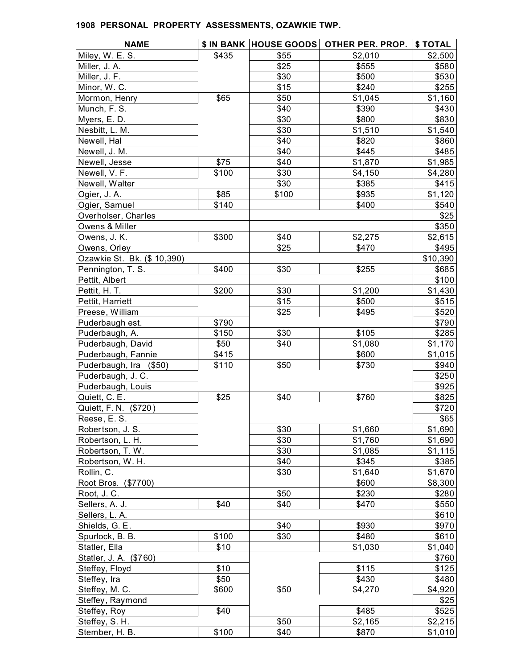| <b>NAME</b>                    |       |       | \$ IN BANK HOUSE GOODS OTHER PER. PROP. | \$TOTAL  |
|--------------------------------|-------|-------|-----------------------------------------|----------|
| Miley, W. E. S.                | \$435 | \$55  | \$2,010                                 | \$2,500  |
| Miller, J. A.                  |       | \$25  | \$555                                   | \$580    |
| Miller, J. F.                  |       | \$30  | \$500                                   | \$530    |
| Minor, W. C.                   |       | \$15  | \$240                                   | \$255    |
| Mormon, Henry                  | \$65  | \$50  | \$1,045                                 | \$1,160  |
| Munch, F. S.                   |       | \$40  | \$390                                   | \$430    |
| Myers, E.D.                    |       | \$30  | \$800                                   | \$830    |
| Nesbitt, L. M.                 |       | \$30  | \$1,510                                 | \$1,540  |
| Newell, Hal                    |       | \$40  | \$820                                   | \$860    |
| Newell, J. M.                  |       | \$40  | \$445                                   | \$485    |
| Newell, Jesse                  | \$75  | \$40  | \$1,870                                 | \$1,985  |
| Newell, V. F.                  | \$100 | \$30  | \$4,150                                 | \$4,280  |
| Newell, Walter                 |       | \$30  | \$385                                   | \$415    |
| Ogier, J. A.                   | \$85  | \$100 | \$935                                   | \$1,120  |
| Ogier, Samuel                  | \$140 |       | \$400                                   | \$540    |
| Overholser, Charles            |       |       |                                         | \$25     |
| Owens & Miller                 |       |       |                                         | \$350    |
| Owens, J. K.                   | \$300 | \$40  | \$2,275                                 | \$2,615  |
| Owens, Orley                   |       | \$25  | \$470                                   | \$495    |
| Ozawkie St. Bk. (\$ 10,390)    |       |       |                                         | \$10,390 |
| Pennington, T. S.              | \$400 | \$30  | \$255                                   | \$685    |
| Pettit, Albert                 |       |       |                                         | \$100    |
| Pettit, H. T.                  | \$200 | \$30  | \$1,200                                 | \$1,430  |
| Pettit, Harriett               |       | \$15  | \$500                                   | \$515    |
| Preese, William                |       | \$25  | \$495                                   | \$520    |
| Puderbaugh est.                | \$790 |       |                                         | \$790    |
| Puderbaugh, A.                 | \$150 | \$30  | \$105                                   | \$285    |
| Puderbaugh, David              | \$50  | \$40  | \$1,080                                 | \$1,170  |
| Puderbaugh, Fannie             | \$415 |       | \$600                                   | \$1,015  |
| Puderbaugh, Ira (\$50)         | \$110 | \$50  | \$730                                   | \$940    |
| Puderbaugh, J. C.              |       |       |                                         | \$250    |
| Puderbaugh, Louis              |       |       |                                         | \$925    |
| Quiett, C. E.                  | \$25  | \$40  | \$760                                   | \$825    |
| Quiett, F. N. (\$720)          |       |       |                                         | \$720    |
| Reese, E.S.                    |       |       |                                         | \$65     |
| Robertson, J. S.               |       | \$30  | \$1,660                                 | \$1,690  |
| Robertson, L. H.               |       | \$30  | \$1,760                                 | \$1,690  |
| Robertson, T. W.               |       | \$30  | \$1,085                                 | \$1,115  |
| Robertson, W. H.               |       | \$40  | \$345                                   | \$385    |
| Rollin, C.                     |       | \$30  | \$1,640                                 | \$1,670  |
| Root Bros. (\$7700)            |       |       | \$600                                   | \$8,300  |
| Root, J.C.                     |       | \$50  | \$230                                   | \$280    |
| Sellers, A. J.                 | \$40  | \$40  | \$470                                   | \$550    |
| Sellers, L. A.                 |       |       |                                         | \$610    |
| Shields, G. E.                 |       | \$40  | \$930                                   | \$970    |
| Spurlock, B. B.                | \$100 | \$30  | \$480                                   | \$610    |
| Statler, Ella                  | \$10  |       | \$1,030                                 | \$1,040  |
| Statler, J. A. (\$760)         |       |       |                                         | \$760    |
| Steffey, Floyd                 | \$10  |       | \$115                                   | \$125    |
| Steffey, Ira                   | \$50  |       | \$430                                   | \$480    |
| Steffey, M. C.                 | \$600 | \$50  | \$4,270                                 | \$4,920  |
| Steffey, Raymond               |       |       |                                         | \$25     |
|                                | \$40  |       | \$485                                   | \$525    |
| Steffey, Roy<br>Steffey, S. H. |       | \$50  | \$2,165                                 |          |
| Stember, H. B.                 | \$100 | \$40  | \$870                                   | \$2,215  |
|                                |       |       |                                         | \$1,010  |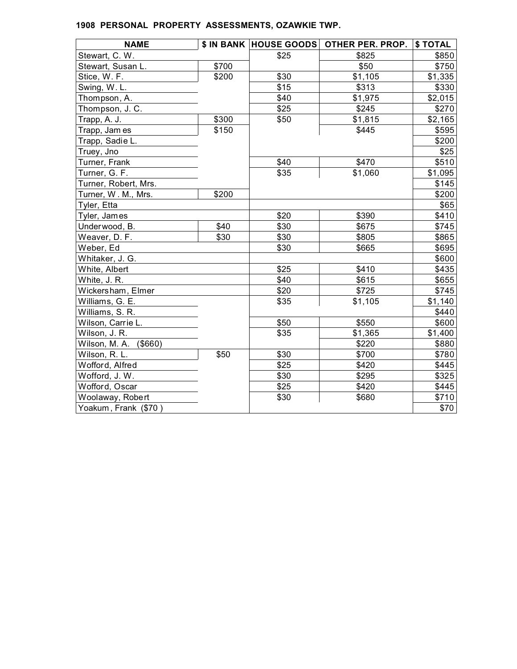| <b>NAME</b>           |       |      | \$ IN BANK HOUSE GOODS OTHER PER. PROP. | \$ TOTAL |
|-----------------------|-------|------|-----------------------------------------|----------|
| Stewart, C. W.        |       | \$25 | \$825                                   | \$850    |
| Stewart, Susan L.     | \$700 |      | \$50                                    | \$750    |
| Stice, W. F.          | \$200 | \$30 | \$1,105                                 | \$1,335  |
| Swing, W.L.           |       | \$15 | \$313                                   | \$330    |
| Thompson, A.          |       | \$40 | \$1,975                                 | \$2,015  |
| Thompson, J. C.       |       | \$25 | \$245                                   | \$270    |
| Trapp, A. J.          | \$300 | \$50 | \$1,815                                 | \$2,165  |
| Trapp, Jam es         | \$150 |      | \$445                                   | \$595    |
| Trapp, Sadie L.       |       |      |                                         | \$200    |
| Truey, Jno            |       |      |                                         | \$25     |
| Turner, Frank         |       | \$40 | \$470                                   | \$510    |
| Turner, G. F.         |       | \$35 | \$1,060                                 | \$1,095  |
| Turner, Robert, Mrs.  |       |      |                                         | \$145    |
| Turner, W. M., Mrs.   | \$200 |      |                                         | \$200    |
| Tyler, Etta           |       |      |                                         | \$65     |
| Tyler, James          |       | \$20 | \$390                                   | \$410    |
| Underwood, B.         | \$40  | \$30 | \$675                                   | \$745    |
| Weaver, D. F.         | \$30  | \$30 | \$805                                   | \$865    |
| Weber, Ed             |       | \$30 | \$665                                   | \$695    |
| Whitaker, J. G.       |       |      |                                         | \$600    |
| White, Albert         |       | \$25 | \$410                                   | \$435    |
| White, J. R.          |       | \$40 | \$615                                   | \$655    |
| Wickersham, Elmer     |       | \$20 | \$725                                   | \$745    |
| Williams, G. E.       |       | \$35 | \$1,105                                 | \$1,140  |
| Williams, S. R.       |       |      |                                         | \$440    |
| Wilson, Carrie L.     |       | \$50 | \$550                                   | \$600    |
| Wilson, J. R.         |       | \$35 | \$1,365                                 | \$1,400  |
| Wilson, M. A. (\$660) |       |      | \$220                                   | \$880    |
| Wilson, R. L.         | \$50  | \$30 | \$700                                   | \$780    |
| Wofford, Alfred       |       | \$25 | \$420                                   | \$445    |
| Wofford, J. W.        |       | \$30 | \$295                                   | \$325    |
| Wofford, Oscar        |       | \$25 | \$420                                   | \$445    |
| Woolaway, Robert      |       | \$30 | \$680                                   | \$710    |
| Yoakum, Frank (\$70)  |       |      |                                         | \$70     |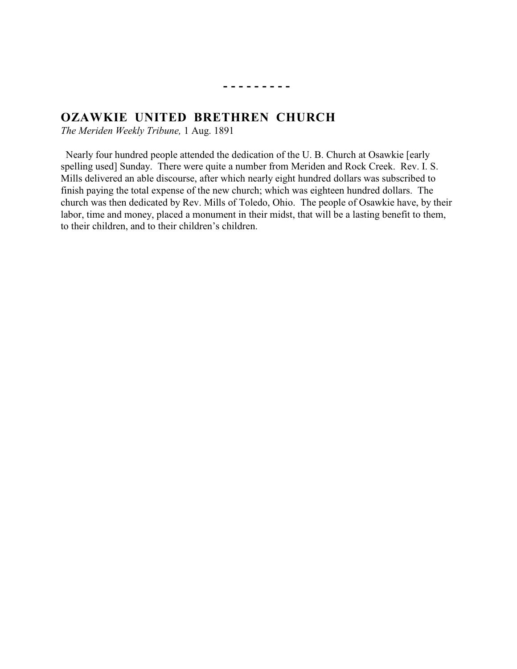## **- - - - - - - - -**

# **OZAWKIE UNITED BRETHREN CHURCH**<br>The Meriden Weekly Tribune 1 Aug 1801

*The Meriden Weekly Tribune,* 1 Aug. 1891

 Nearly four hundred people attended the dedication of the U. B. Church at Osawkie [early spelling used] Sunday. There were quite a number from Meriden and Rock Creek. Rev. I. S. Mills delivered an able discourse, after which nearly eight hundred dollars was subscribed to finish paying the total expense of the new church; which was eighteen hundred dollars. The church was then dedicated by Rev. Mills of Toledo, Ohio. The people of Osawkie have, by their labor, time and money, placed a monument in their midst, that will be a lasting benefit to them, to their children, and to their children's children.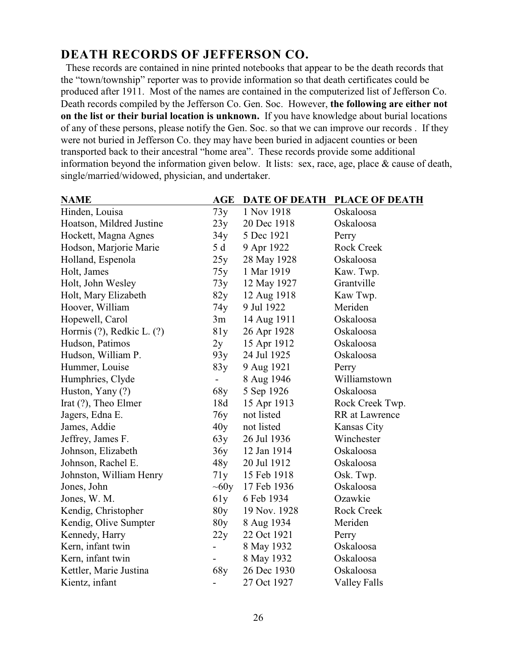## **DEATH RECORDS OF JEFFERSON CO.**

 These records are contained in nine printed notebooks that appear to be the death records that the "town/township" reporter was to provide information so that death certificates could be produced after 1911. Most of the names are contained in the computerized list of Jefferson Co. Death records compiled by the Jefferson Co. Gen. Soc. However, **the following are either not on the list or their burial location is unknown.** If you have knowledge about burial locations of any of these persons, please notify the Gen. Soc. so that we can improve our records . If they were not buried in Jefferson Co. they may have been buried in adjacent counties or been transported back to their ancestral "home area". These records provide some additional information beyond the information given below. It lists: sex, race, age, place & cause of death, single/married/widowed, physician, and undertaker.

| <b>NAME</b>                | <b>AGE</b> | DATE OF DEATH | <b>PLACE OF DEATH</b> |
|----------------------------|------------|---------------|-----------------------|
| Hinden, Louisa             | 73y        | 1 Nov 1918    | Oskaloosa             |
| Hoatson, Mildred Justine   | 23y        | 20 Dec 1918   | Oskaloosa             |
| Hockett, Magna Agnes       | 34y        | 5 Dec 1921    | Perry                 |
| Hodson, Marjorie Marie     | 5 d        | 9 Apr 1922    | <b>Rock Creek</b>     |
| Holland, Espenola          | 25y        | 28 May 1928   | Oskaloosa             |
| Holt, James                | 75y        | 1 Mar 1919    | Kaw. Twp.             |
| Holt, John Wesley          | 73y        | 12 May 1927   | Grantville            |
| Holt, Mary Elizabeth       | 82y        | 12 Aug 1918   | Kaw Twp.              |
| Hoover, William            | 74y        | 9 Jul 1922    | Meriden               |
| Hopewell, Carol            | 3m         | 14 Aug 1911   | Oskaloosa             |
| Horrnis (?), Redkic L. (?) | 81y        | 26 Apr 1928   | Oskaloosa             |
| Hudson, Patimos            | 2y         | 15 Apr 1912   | Oskaloosa             |
| Hudson, William P.         | 93y        | 24 Jul 1925   | Oskaloosa             |
| Hummer, Louise             | 83y        | 9 Aug 1921    | Perry                 |
| Humphries, Clyde           |            | 8 Aug 1946    | Williamstown          |
| Huston, Yany (?)           | 68y        | 5 Sep 1926    | Oskaloosa             |
| Irat (?), Theo Elmer       | 18d        | 15 Apr 1913   | Rock Creek Twp.       |
| Jagers, Edna E.            | 76y        | not listed    | <b>RR</b> at Lawrence |
| James, Addie               | 40y        | not listed    | Kansas City           |
| Jeffrey, James F.          | 63y        | 26 Jul 1936   | Winchester            |
| Johnson, Elizabeth         | 36y        | 12 Jan 1914   | Oskaloosa             |
| Johnson, Rachel E.         | 48y        | 20 Jul 1912   | Oskaloosa             |
| Johnston, William Henry    | 71y        | 15 Feb 1918   | Osk. Twp.             |
| Jones, John                | $\sim 60y$ | 17 Feb 1936   | Oskaloosa             |
| Jones, W. M.               | 61y        | 6 Feb 1934    | Ozawkie               |
| Kendig, Christopher        | 80y        | 19 Nov. 1928  | <b>Rock Creek</b>     |
| Kendig, Olive Sumpter      | 80y        | 8 Aug 1934    | Meriden               |
| Kennedy, Harry             | 22y        | 22 Oct 1921   | Perry                 |
| Kern, infant twin          |            | 8 May 1932    | Oskaloosa             |
| Kern, infant twin          |            | 8 May 1932    | Oskaloosa             |
| Kettler, Marie Justina     | 68y        | 26 Dec 1930   | Oskaloosa             |
| Kientz, infant             |            | 27 Oct 1927   | <b>Valley Falls</b>   |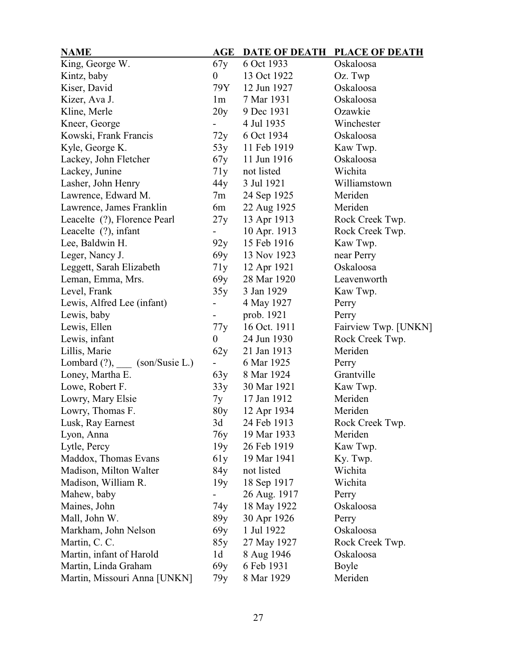| <b>NAME</b>                  | <b>AGE</b>       | <b>DATE OF DEATH</b> | PLACE OF DEATH       |
|------------------------------|------------------|----------------------|----------------------|
| King, George W.              | 67y              | 6 Oct 1933           | Oskaloosa            |
| Kintz, baby                  | $\overline{0}$   | 13 Oct 1922          | Oz. Twp              |
| Kiser, David                 | 79Y              | 12 Jun 1927          | Oskaloosa            |
| Kizer, Ava J.                | 1m               | 7 Mar 1931           | Oskaloosa            |
| Kline, Merle                 | 20y              | 9 Dec 1931           | Ozawkie              |
| Kneer, George                |                  | 4 Jul 1935           | Winchester           |
| Kowski, Frank Francis        | 72y              | 6 Oct 1934           | Oskaloosa            |
| Kyle, George K.              | 53y              | 11 Feb 1919          | Kaw Twp.             |
| Lackey, John Fletcher        | 67y              | 11 Jun 1916          | Oskaloosa            |
| Lackey, Junine               | 71y              | not listed           | Wichita              |
| Lasher, John Henry           | 44 y             | 3 Jul 1921           | Williamstown         |
| Lawrence, Edward M.          | 7m               | 24 Sep 1925          | Meriden              |
| Lawrence, James Franklin     | 6m               | 22 Aug 1925          | Meriden              |
| Leacelte (?), Florence Pearl | 27y              | 13 Apr 1913          | Rock Creek Twp.      |
| Leacelte (?), infant         |                  | 10 Apr. 1913         | Rock Creek Twp.      |
| Lee, Baldwin H.              | 92y              | 15 Feb 1916          | Kaw Twp.             |
| Leger, Nancy J.              | 69y              | 13 Nov 1923          | near Perry           |
| Leggett, Sarah Elizabeth     | 71y              | 12 Apr 1921          | Oskaloosa            |
| Leman, Emma, Mrs.            | 69y              | 28 Mar 1920          | Leavenworth          |
| Level, Frank                 | 35y              | 3 Jan 1929           | Kaw Twp.             |
| Lewis, Alfred Lee (infant)   |                  | 4 May 1927           | Perry                |
| Lewis, baby                  |                  | prob. 1921           | Perry                |
| Lewis, Ellen                 | 77y              | 16 Oct. 1911         | Fairview Twp. [UNKN] |
| Lewis, infant                | $\boldsymbol{0}$ | 24 Jun 1930          | Rock Creek Twp.      |
| Lillis, Marie                | 62y              | 21 Jan 1913          | Meriden              |
| Lombard (?), (son/Susie L.)  |                  | 6 Mar 1925           | Perry                |
| Loney, Martha E.             | 63y              | 8 Mar 1924           | Grantville           |
| Lowe, Robert F.              | 33y              | 30 Mar 1921          | Kaw Twp.             |
| Lowry, Mary Elsie            | 7y               | 17 Jan 1912          | Meriden              |
| Lowry, Thomas F.             | 80y              | 12 Apr 1934          | Meriden              |
| Lusk, Ray Earnest            | 3d               | 24 Feb 1913          | Rock Creek Twp.      |
| Lyon, Anna                   | 76y              | 19 Mar 1933          | Meriden              |
| Lytle, Percy                 | 19y              | 26 Feb 1919          | Kaw Twp.             |
| Maddox, Thomas Evans         | 61y              | 19 Mar 1941          | Ky. Twp.             |
| Madison, Milton Walter       | 84y              | not listed           | Wichita              |
| Madison, William R.          | 19y              | 18 Sep 1917          | Wichita              |
| Mahew, baby                  |                  | 26 Aug. 1917         | Perry                |
| Maines, John                 | 74y              | 18 May 1922          | Oskaloosa            |
| Mall, John W.                | 89y              | 30 Apr 1926          | Perry                |
| Markham, John Nelson         | 69y              | 1 Jul 1922           | Oskaloosa            |
| Martin, C. C.                | 85y              | 27 May 1927          | Rock Creek Twp.      |
| Martin, infant of Harold     | 1d               | 8 Aug 1946           | Oskaloosa            |
| Martin, Linda Graham         | 69y              | 6 Feb 1931           | Boyle                |
| Martin, Missouri Anna [UNKN] | 79y              | 8 Mar 1929           | Meriden              |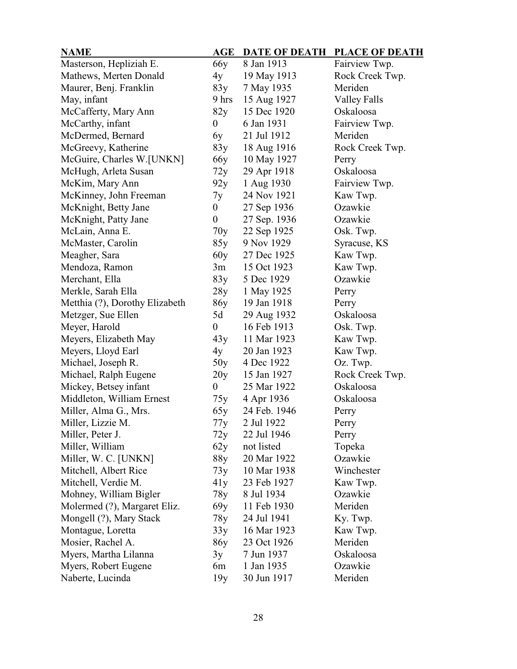| <b>NAME</b>                    | $\mathbf{AGE}$   |              | DATE OF DEATH PLACE OF DEATH |
|--------------------------------|------------------|--------------|------------------------------|
| Masterson, Hepliziah E.        | 66y              | 8 Jan 1913   | Fairview Twp.                |
| Mathews, Merten Donald         | 4y               | 19 May 1913  | Rock Creek Twp.              |
| Maurer, Benj. Franklin         | 83y              | 7 May 1935   | Meriden                      |
| May, infant                    | 9 hrs            | 15 Aug 1927  | <b>Valley Falls</b>          |
| McCafferty, Mary Ann           | 82y              | 15 Dec 1920  | Oskaloosa                    |
| McCarthy, infant               | $\overline{0}$   | 6 Jan 1931   | Fairview Twp.                |
| McDermed, Bernard              | 6y               | 21 Jul 1912  | Meriden                      |
| McGreevy, Katherine            | 83y              | 18 Aug 1916  | Rock Creek Twp.              |
| McGuire, Charles W.[UNKN]      | 66y              | 10 May 1927  | Perry                        |
| McHugh, Arleta Susan           | 72y              | 29 Apr 1918  | Oskaloosa                    |
| McKim, Mary Ann                | 92y              | 1 Aug 1930   | Fairview Twp.                |
| McKinney, John Freeman         | 7y               | 24 Nov 1921  | Kaw Twp.                     |
| McKnight, Betty Jane           | 0                | 27 Sep 1936  | Ozawkie                      |
| McKnight, Patty Jane           | $\boldsymbol{0}$ | 27 Sep. 1936 | Ozawkie                      |
| McLain, Anna E.                | 70y              | 22 Sep 1925  | Osk. Twp.                    |
| McMaster, Carolin              | 85y              | 9 Nov 1929   | Syracuse, KS                 |
| Meagher, Sara                  | 60y              | 27 Dec 1925  | Kaw Twp.                     |
| Mendoza, Ramon                 | 3m               | 15 Oct 1923  | Kaw Twp.                     |
| Merchant, Ella                 | 83y              | 5 Dec 1929   | Ozawkie                      |
| Merkle, Sarah Ella             | 28y              | 1 May 1925   | Perry                        |
| Metthia (?), Dorothy Elizabeth | 86у              | 19 Jan 1918  | Perry                        |
| Metzger, Sue Ellen             | 5d               | 29 Aug 1932  | Oskaloosa                    |
| Meyer, Harold                  | $\overline{0}$   | 16 Feb 1913  | Osk. Twp.                    |
| Meyers, Elizabeth May          | 43y              | 11 Mar 1923  | Kaw Twp.                     |
| Meyers, Lloyd Earl             | 4y               | 20 Jan 1923  | Kaw Twp.                     |
| Michael, Joseph R.             | 50y              | 4 Dec 1922   | Oz. Twp.                     |
| Michael, Ralph Eugene          | 20y              | 15 Jan 1927  | Rock Creek Twp.              |
| Mickey, Betsey infant          | $\boldsymbol{0}$ | 25 Mar 1922  | Oskaloosa                    |
| Middleton, William Ernest      | 75y              | 4 Apr 1936   | Oskaloosa                    |
| Miller, Alma G., Mrs.          | 65y              | 24 Feb. 1946 | Perry                        |
| Miller, Lizzie M.              | 77y              | 2 Jul 1922   | Perry                        |
| Miller, Peter J.               | 72y              | 22 Jul 1946  | Perry                        |
| Miller, William                | 62y              | not listed   | Topeka                       |
| Miller, W. C. [UNKN]           | 88y              | 20 Mar 1922  | Ozawkie                      |
| Mitchell, Albert Rice          | 73y              | 10 Mar 1938  | Winchester                   |
| Mitchell, Verdie M.            | 41y              | 23 Feb 1927  | Kaw Twp.                     |
| Mohney, William Bigler         | 78y              | 8 Jul 1934   | Ozawkie                      |
| Molermed (?), Margaret Eliz.   | 69y              | 11 Feb 1930  | Meriden                      |
| Mongell (?), Mary Stack        | 78y              | 24 Jul 1941  | Ky. Twp.                     |
| Montague, Loretta              | 33y              | 16 Mar 1923  | Kaw Twp.                     |
| Mosier, Rachel A.              | 86y              | 23 Oct 1926  | Meriden                      |
| Myers, Martha Lilanna          | 3y               | 7 Jun 1937   | Oskaloosa                    |
| Myers, Robert Eugene           | 6m               | 1 Jan 1935   | Ozawkie                      |
| Naberte, Lucinda               | 19y              | 30 Jun 1917  | Meriden                      |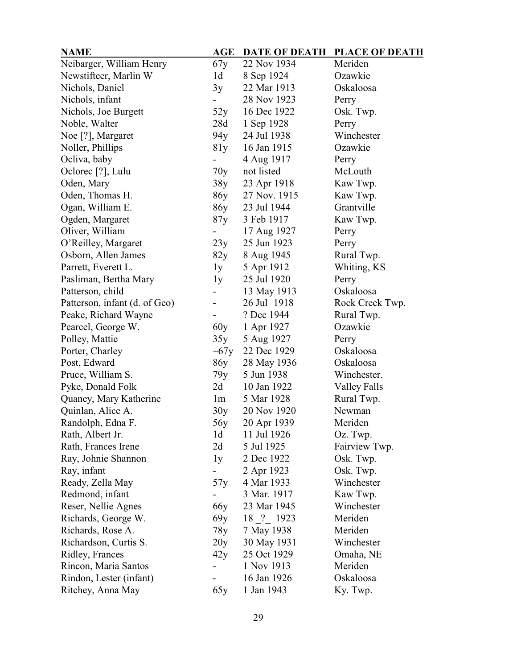## **NAME AGE DATE OF DEATH PLACE OF DEATH**

| 1 17 <b>1</b> 17 <b>1 1</b>   | $\bf{11}$       | PAIL VI DEAIN | THIND OF<br>$\boldsymbol{\nu}$ |
|-------------------------------|-----------------|---------------|--------------------------------|
| Neibarger, William Henry      | 67y             | 22 Nov 1934   | Meriden                        |
| Newstifteer, Marlin W         | 1 <sub>d</sub>  | 8 Sep 1924    | Ozawkie                        |
| Nichols, Daniel               | 3y              | 22 Mar 1913   | Oskaloosa                      |
| Nichols, infant               |                 | 28 Nov 1923   | Perry                          |
| Nichols, Joe Burgett          | 52y             | 16 Dec 1922   | Osk. Twp.                      |
| Noble, Walter                 | 28d             | 1 Sep 1928    | Perry                          |
| Noe [?], Margaret             | 94y             | 24 Jul 1938   | Winchester                     |
| Noller, Phillips              | 81y             | 16 Jan 1915   | Ozawkie                        |
| Ocliva, baby                  |                 | 4 Aug 1917    | Perry                          |
| Oclorec [?], Lulu             | 70y             | not listed    | McLouth                        |
| Oden, Mary                    | 38y             | 23 Apr 1918   | Kaw Twp.                       |
| Oden, Thomas H.               | 86y             | 27 Nov. 1915  | Kaw Twp.                       |
| Ogan, William E.              | 86y             | 23 Jul 1944   | Grantville                     |
| Ogden, Margaret               | 87y             | 3 Feb 1917    | Kaw Twp.                       |
| Oliver, William               |                 | 17 Aug 1927   | Perry                          |
| O'Reilley, Margaret           | 23y             | 25 Jun 1923   | Perry                          |
| Osborn, Allen James           | 82y             | 8 Aug 1945    | Rural Twp.                     |
| Parrett, Everett L.           | 1y              | 5 Apr 1912    | Whiting, KS                    |
| Pasliman, Bertha Mary         | 1y              | 25 Jul 1920   | Perry                          |
| Patterson, child              |                 | 13 May 1913   | Oskaloosa                      |
| Patterson, infant (d. of Geo) |                 | 26 Jul 1918   | Rock Creek Twp.                |
| Peake, Richard Wayne          |                 | ? Dec 1944    | Rural Twp.                     |
| Pearcel, George W.            | 60y             | 1 Apr 1927    | Ozawkie                        |
| Polley, Mattie                | 35y             | 5 Aug 1927    | Perry                          |
| Porter, Charley               | $\sim 67y$      | 22 Dec 1929   | Oskaloosa                      |
| Post, Edward                  | 86y             | 28 May 1936   | Oskaloosa                      |
| Pruce, William S.             | 79y             | 5 Jun 1938    | Winchester.                    |
| Pyke, Donald Folk             | 2d              | 10 Jan 1922   | Valley Falls                   |
| Quaney, Mary Katherine        | 1 <sub>m</sub>  | 5 Mar 1928    | Rural Twp.                     |
| Quinlan, Alice A.             | 30y             | 20 Nov 1920   | Newman                         |
| Randolph, Edna F.             | 56y             | 20 Apr 1939   | Meriden                        |
| Rath, Albert Jr.              | 1 <sub>d</sub>  | 11 Jul 1926   | Oz. Twp.                       |
| Rath, Frances Irene           | 2d              | 5 Jul 1925    | Fairview Twp.                  |
| Ray, Johnie Shannon           | 1y              | 2 Dec 1922    | Osk. Twp.                      |
| Ray, infant                   |                 | 2 Apr 1923    | Osk. Twp.                      |
| Ready, Zella May              | 57y             | 4 Mar 1933    | Winchester                     |
| Redmond, infant               |                 | 3 Mar. 1917   | Kaw Twp.                       |
| Reser, Nellie Agnes           | 66 <sub>y</sub> | 23 Mar 1945   | Winchester                     |
| Richards, George W.           | 69y             | 18 ? 1923     | Meriden                        |
| Richards, Rose A.             | 78y             | 7 May 1938    | Meriden                        |
| Richardson, Curtis S.         | 20y             | 30 May 1931   | Winchester                     |
| Ridley, Frances               | 42y             | 25 Oct 1929   | Omaha, NE                      |
| Rincon, Maria Santos          |                 | 1 Nov 1913    | Meriden                        |
| Rindon, Lester (infant)       |                 | 16 Jan 1926   | Oskaloosa                      |
| Ritchey, Anna May             | 65y             | 1 Jan 1943    | Ky. Twp.                       |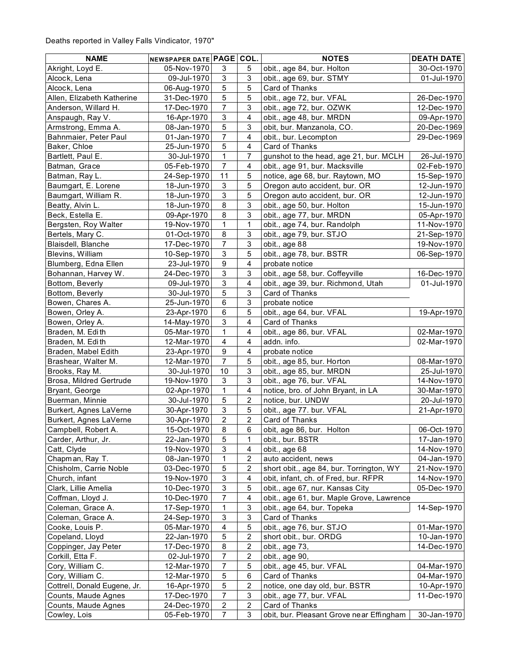| <b>NAME</b>                  | NEWSPAPER DATE PAGE COL. |                           |                           | <b>NOTES</b>                              | <b>DEATH DATE</b> |
|------------------------------|--------------------------|---------------------------|---------------------------|-------------------------------------------|-------------------|
| Akright, Loyd E.             | 05-Nov-1970              | 3                         | 5                         | obit., age 84, bur. Holton                | 30-Oct-1970       |
| Alcock, Lena                 | 09-Jul-1970              | 3                         | $\mathbf{3}$              | obit., age 69, bur. STMY                  | 01-Jul-1970       |
| Alcock, Lena                 | 06-Aug-1970              | 5                         | 5                         | Card of Thanks                            |                   |
| Allen, Elizabeth Katherine   | 31-Dec-1970              | 5                         | 5                         | obit., age 72, bur. VFAL                  | 26-Dec-1970       |
| Anderson, Willard H.         | 17-Dec-1970              | $\overline{7}$            | 3                         | obit., age 72, bur. OZWK                  | 12-Dec-1970       |
| Anspaugh, Ray V.             | 16-Apr-1970              | $\mathsf 3$               | $\overline{\mathbf{4}}$   | obit., age 48, bur. MRDN                  | 09-Apr-1970       |
| Armstrong, Emma A.           | 08-Jan-1970              | 5                         | $\mathsf 3$               | obit, bur. Manzanola, CO.                 | 20-Dec-1969       |
| Bahnmaier, Peter Paul        | 01-Jan-1970              | $\overline{7}$            | $\overline{4}$            | obit., bur. Lecompton                     | 29-Dec-1969       |
| Baker, Chloe                 | 25-Jun-1970              | 5                         | $\overline{4}$            | Card of Thanks                            |                   |
| Bartlett, Paul E.            | 30-Jul-1970              | $\mathbf{1}$              | $\overline{7}$            | gunshot to the head, age 21, bur. MCLH    | 26-Jul-1970       |
| Batman, Grace                | 05-Feb-1970              | $\overline{7}$            | 4                         | obit., age 91, bur. Macksville            | 02-Feb-1970       |
| Batman, Ray L.               | 24-Sep-1970              | 11                        | $\mathbf 5$               | notice, age 68, bur. Raytown, MO          | 15-Sep-1970       |
| Baumgart, E. Lorene          | 18-Jun-1970              | 3                         | 5                         | Oregon auto accident, bur. OR             | 12-Jun-1970       |
| Baumgart, William R.         | 18-Jun-1970              | 3                         | $\overline{5}$            | Oregon auto accident, bur. OR             | 12-Jun-1970       |
| Beatty, Alvin L.             | 18-Jun-1970              | 8                         | $\mathbf{3}$              | obit., age 50, bur. Holton                | 15-Jun-1970       |
| Beck, Estella E.             | 09-Apr-1970              | $\bf 8$                   | $\mathsf 3$               | obit., age 77, bur. MRDN                  | 05-Apr-1970       |
| Bergsten, Roy Walter         | 19-Nov-1970              | 1                         | $\mathbf{1}$              | obit., age 74, bur. Randolph              | 11-Nov-1970       |
| Bertels, Mary C.             | 01-Oct-1970              | 8                         | $\ensuremath{\mathsf{3}}$ | obit., age 79, bur. STJO                  | 21-Sep-1970       |
| Blaisdell, Blanche           | 17-Dec-1970              | $\overline{7}$            | 3                         | obit., age 88                             | 19-Nov-1970       |
| Blevins, William             | 10-Sep-1970              | $\mathfrak{S}$            | 5                         | obit., age 78, bur. BSTR                  | 06-Sep-1970       |
| Blumberg, Edna Ellen         | 23-Jul-1970              | $\boldsymbol{9}$          | $\overline{4}$            | probate notice                            |                   |
| Bohannan, Harvey W.          | 24-Dec-1970              | $\mathsf 3$               | $\sqrt{3}$                | obit., age 58, bur. Coffeyville           | 16-Dec-1970       |
| Bottom, Beverly              | 09-Jul-1970              | $\ensuremath{\mathsf{3}}$ | $\overline{4}$            | obit., age 39, bur. Richmond, Utah        | 01-Jul-1970       |
| Bottom, Beverly              | 30-Jul-1970              | 5                         | $\sqrt{3}$                | Card of Thanks                            |                   |
| Bowen, Chares A.             | 25-Jun-1970              | 6                         | 3                         | probate notice                            |                   |
| Bowen, Orley A.              | 23-Apr-1970              | $\,6$                     | 5                         | obit., age 64, bur. VFAL                  | 19-Apr-1970       |
| Bowen, Orley A.              | 14-May-1970              | 3                         | $\overline{\mathbf{4}}$   | Card of Thanks                            |                   |
| Braden, M. Edith             | 05-Mar-1970              | 1                         | $\overline{\mathbf{4}}$   | obit., age 86, bur. VFAL                  | 02-Mar-1970       |
| Braden, M. Edith             | 12-Mar-1970              | $\overline{\mathbf{4}}$   | $\overline{\mathbf{4}}$   | addn. info.                               | 02-Mar-1970       |
| Braden, Mabel Edith          | 23-Apr-1970              | $\boldsymbol{9}$          | $\overline{\mathbf{4}}$   | probate notice                            |                   |
| Brashear, Walter M.          | 12-Mar-1970              | $\overline{7}$            | 5                         | obit., age 85, bur. Horton                | 08-Mar-1970       |
| Brooks, Ray M.               | 30-Jul-1970              | $10$                      | 3                         | obit., age 85, bur. MRDN                  | 25-Jul-1970       |
| Brosa, Mildred Gertrude      | 19-Nov-1970              | $\ensuremath{\mathsf{3}}$ | $\mathsf 3$               | obit., age 76, bur. VFAL                  | 14-Nov-1970       |
| Bryant, George               | 02-Apr-1970              | $\mathbf{1}$              | $\overline{\mathbf{4}}$   | notice, bro. of John Bryant, in LA        | 30-Mar-1970       |
| Buerman, Minnie              | 30-Jul-1970              | 5                         | $\sqrt{2}$                | notice, bur. UNDW                         | 20-Jul-1970       |
| Burkert, Agnes LaVerne       | 30-Apr-1970              | 3                         | $\mathbf 5$               | obit., age 77. bur. VFAL                  | 21-Apr-1970       |
| Burkert, Agnes LaVerne       | 30-Apr-1970              | $\overline{2}$            | $\overline{c}$            | Card of Thanks                            |                   |
| Campbell, Robert A.          | 15-Oct-1970              | 8                         | 6                         | obit, age 86, bur. Holton                 | 06-Oct-1970       |
| Carder, Arthur, Jr.          | 22-Jan-1970              | 5                         | 1                         | obit., bur. BSTR                          | 17-Jan-1970       |
| Catt, Clyde                  | 19-Nov-1970              | 3                         | 4                         | obit., age 68                             | 14-Nov-1970       |
| Chapman, Ray T.              | 08-Jan-1970              | 1                         | 2                         | auto accident, news                       | 04-Jan-1970       |
| Chisholm, Carrie Noble       | 03-Dec-1970              | 5                         | $\overline{\mathbf{c}}$   | short obit., age 84, bur. Torrington, WY  | 21-Nov-1970       |
| Church, infant               | 19-Nov-1970              | 3                         | $\overline{\mathbf{4}}$   | obit, infant, ch. of Fred, bur. RFPR      | 14-Nov-1970       |
| Clark, Lillie Amelia         | 10-Dec-1970              | 3                         | 5                         | obit., age 67, nur. Kansas City           | 05-Dec-1970       |
| Coffman, Lloyd J.            | 10-Dec-1970              | 7                         | 4                         | obit., age 61, bur. Maple Grove, Lawrence |                   |
| Coleman, Grace A.            | 17-Sep-1970              | 1                         | 3                         | obit., age 64, bur. Topeka                | 14-Sep-1970       |
| Coleman, Grace A.            | 24-Sep-1970              | 3                         | $\ensuremath{\mathsf{3}}$ | Card of Thanks                            |                   |
| Cooke, Louis P.              | 05-Mar-1970              | $\overline{\mathbf{4}}$   | 5                         | obit., age 76, bur. STJO                  | 01-Mar-1970       |
| Copeland, Lloyd              | 22-Jan-1970              | 5                         | $\sqrt{2}$                | short obit., bur. ORDG                    | 10-Jan-1970       |
| Coppinger, Jay Peter         | 17-Dec-1970              | 8                         | $\overline{\mathbf{c}}$   | obit., age 73,                            | 14-Dec-1970       |
| Corkill, Etta F.             | 02-Jul-1970              | 7                         | $\boldsymbol{2}$          | obit., age 90,                            |                   |
| Cory, William C.             | 12-Mar-1970              | 7                         | 5                         | obit., age 45, bur. VFAL                  | 04-Mar-1970       |
| Cory, William C.             | 12-Mar-1970              | 5                         | 6                         | Card of Thanks                            | 04-Mar-1970       |
| Cottrell, Donald Eugene, Jr. | 16-Apr-1970              | 5                         | $\overline{\mathbf{c}}$   | notice, one day old, bur. BSTR            | 10-Apr-1970       |
| Counts, Maude Agnes          | 17-Dec-1970              | 7                         | 3                         | obit., age 77, bur. VFAL                  | 11-Dec-1970       |
| Counts, Maude Agnes          | 24-Dec-1970              | 2                         | $\sqrt{2}$                | Card of Thanks                            |                   |
| Cowley, Lois                 | 05-Feb-1970              | $\overline{7}$            | 3                         | obit, bur. Pleasant Grove near Effingham  | 30-Jan-1970       |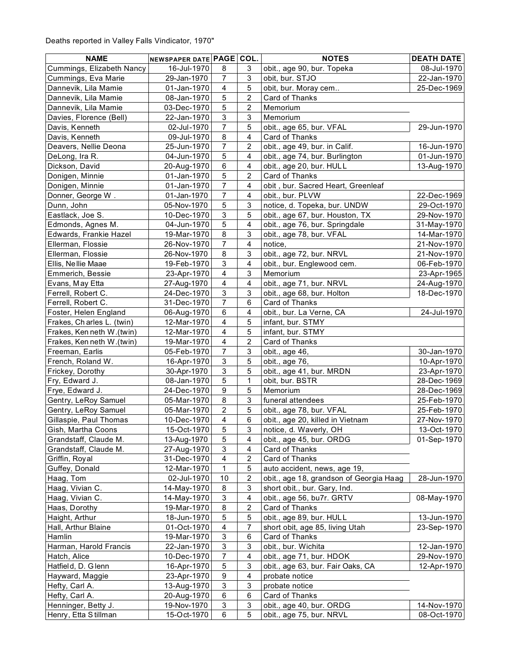| <b>NAME</b>               | NEWSPAPER DATE PAGE COL. |                           |                           | <b>NOTES</b>                            | <b>DEATH DATE</b> |
|---------------------------|--------------------------|---------------------------|---------------------------|-----------------------------------------|-------------------|
| Cummings, Elizabeth Nancy | 16-Jul-1970              | 8                         | 3                         | obit., age 90, bur. Topeka              | 08-Jul-1970       |
| Cummings, Eva Marie       | 29-Jan-1970              | 7                         | 3                         | obit, bur. STJO                         | 22-Jan-1970       |
| Dannevik, Lila Mamie      | 01-Jan-1970              | $\overline{\mathbf{4}}$   | 5                         | obit, bur. Moray cem                    | 25-Dec-1969       |
| Dannevik, Lila Mamie      | 08-Jan-1970              | 5                         | $\overline{c}$            | Card of Thanks                          |                   |
| Dannevik, Lila Mamie      | 03-Dec-1970              | 5                         | $\overline{c}$            | Memorium                                |                   |
| Davies, Florence (Bell)   | 22-Jan-1970              | 3                         | 3                         | Memorium                                |                   |
| Davis, Kenneth            | 02-Jul-1970              | $\overline{7}$            | 5                         | obit., age 65, bur. VFAL                | 29-Jun-1970       |
| Davis, Kenneth            | 09-Jul-1970              | $\bf 8$                   | $\overline{\mathbf{4}}$   | Card of Thanks                          |                   |
| Deavers, Nellie Deona     | 25-Jun-1970              | $\overline{7}$            | $\overline{2}$            | obit., age 49, bur. in Calif.           | 16-Jun-1970       |
| DeLong, Ira R.            | 04-Jun-1970              | 5                         | 4                         | obit., age 74, bur. Burlington          | 01-Jun-1970       |
| Dickson, David            | 20-Aug-1970              | 6                         | $\overline{\mathbf{4}}$   | obit., age 20, bur. HULL                | 13-Aug-1970       |
| Donigen, Minnie           | 01-Jan-1970              | 5                         | $\overline{c}$            | Card of Thanks                          |                   |
| Donigen, Minnie           | 01-Jan-1970              | $\overline{7}$            | $\overline{\mathbf{4}}$   | obit, bur. Sacred Heart, Greenleaf      |                   |
| Donner, George W.         | 01-Jan-1970              | 7                         | 4                         | obit., bur. PLVW                        | 22-Dec-1969       |
| Dunn, John                | 05-Nov-1970              | 5                         | 3                         | notice, d. Topeka, bur. UNDW            | 29-Oct-1970       |
| Eastlack, Joe S.          | 10-Dec-1970              | 3                         | 5                         | obit., age 67, bur. Houston, TX         | 29-Nov-1970       |
| Edmonds, Agnes M.         | 04-Jun-1970              | 5                         | $\overline{\mathbf{4}}$   | obit., age 76, bur. Springdale          | 31-May-1970       |
| Edwards, Frankie Hazel    | 19-Mar-1970              | 8                         | 3                         | obit., age 78, bur. VFAL                | 14-Mar-1970       |
| Ellerman, Flossie         | 26-Nov-1970              | $\overline{7}$            | $\overline{4}$            | notice,                                 | 21-Nov-1970       |
| Ellerman, Flossie         | 26-Nov-1970              | $\bf 8$                   | 3                         | obit., age 72, bur. NRVL                | 21-Nov-1970       |
| Ellis, Nellie Maae        | 19-Feb-1970              | 3                         | $\overline{\mathbf{4}}$   | obit., bur. Englewood cem.              | 06-Feb-1970       |
| Emmerich, Bessie          | 23-Apr-1970              | $\overline{4}$            | $\sqrt{3}$                | Memorium                                | 23-Apr-1965       |
| Evans, May Etta           | 27-Aug-1970              | $\overline{\mathbf{4}}$   | $\overline{\mathbf{4}}$   | obit., age 71, bur. NRVL                | 24-Aug-1970       |
| Ferrell, Robert C.        | 24-Dec-1970              | $\mathbf{3}$              | $\sqrt{3}$                | obit., age 68, bur. Holton              | 18-Dec-1970       |
| Ferrell, Robert C.        | 31-Dec-1970              | $\overline{7}$            | 6                         | Card of Thanks                          |                   |
| Foster, Helen England     | 06-Aug-1970              | 6                         | 4                         | obit., bur. La Verne, CA                | 24-Jul-1970       |
| Frakes, Charles L. (twin) | 12-Mar-1970              | 4                         | 5                         | infant, bur. STMY                       |                   |
| Frakes, Ken neth W.(twin) | 12-Mar-1970              | $\overline{\mathbf{4}}$   | 5                         | infant, bur. STMY                       |                   |
| Frakes, Ken neth W.(twin) | 19-Mar-1970              | $\overline{\mathbf{4}}$   | $\overline{2}$            | Card of Thanks                          |                   |
| Freeman, Earlis           | 05-Feb-1970              | $\overline{7}$            | $\sqrt{3}$                | obit., age 46,                          | 30-Jan-1970       |
| French, Roland W.         | 16-Apr-1970              | $\mathfrak{S}$            | 5                         | obit., age 76,                          | 10-Apr-1970       |
| Frickey, Dorothy          | 30-Apr-1970              | 3                         | 5                         | obit., age 41, bur. MRDN                | 23-Apr-1970       |
| Fry, Edward J.            | 08-Jan-1970              | 5                         | $\mathbf{1}$              | obit, bur. BSTR                         | 28-Dec-1969       |
| Frye, Edward J.           | 24-Dec-1970              | $\boldsymbol{9}$          | $\overline{5}$            | Memorium                                | 28-Dec-1969       |
| Gentry, LeRoy Samuel      | 05-Mar-1970              | 8                         | $\sqrt{3}$                | funeral attendees                       | 25-Feb-1970       |
| Gentry, LeRoy Samuel      | 05-Mar-1970              | $\overline{2}$            | $\sqrt{5}$                | obit., age 78, bur. VFAL                | 25-Feb-1970       |
| Gillaspie, Paul Thomas    | 10-Dec-1970              | $\overline{\mathbf{4}}$   | $\,6$                     | obit., age 20, killed in Vietnam        | 27-Nov-1970       |
| Gish, Martha Coons        | 15-Oct-1970              | 5                         | $\ensuremath{\mathsf{3}}$ | notice, d. Waverly, OH                  | 13-Oct-1970       |
| Grandstaff, Claude M.     | 13-Aug-1970              | 5                         | 4                         | obit., age 45, bur. ORDG                | 01-Sep-1970       |
| Grandstaff, Claude M.     | 27-Aug-1970              | 3                         | 4                         | Card of Thanks                          |                   |
| Griffin, Royal            | 31-Dec-1970              | 4                         | 2                         | Card of Thanks                          |                   |
| Guffey, Donald            | 12-Mar-1970              | 1                         | 5                         | auto accident, news, age 19,            |                   |
| Haag, Tom                 | 02-Jul-1970              | 10                        | $\overline{c}$            | obit., age 18, grandson of Georgia Haag | 28-Jun-1970       |
| Haag, Vivian C.           | 14-May-1970              | 8                         | 3                         | short obit., bur. Gary, Ind.            |                   |
| Haag, Vivian C.           | 14-May-1970              | 3                         | 4                         | obit., age 56, bu7r. GRTV               | 08-May-1970       |
| Haas, Dorothy             | 19-Mar-1970              | 8                         | $\overline{\mathbf{c}}$   | Card of Thanks                          |                   |
| Haight, Arthur            | 18-Jun-1970              | 5                         | $\mathbf 5$               | obit., age 89, bur. HULL                | 13-Jun-1970       |
| Hall, Arthur Blaine       | 01-Oct-1970              | $\overline{\mathbf{4}}$   | $\overline{7}$            | short obit, age 85, living Utah         | 23-Sep-1970       |
| Hamlin                    | 19-Mar-1970              | $\ensuremath{\mathsf{3}}$ | 6                         | Card of Thanks                          |                   |
| Harman, Harold Francis    | 22-Jan-1970              | 3                         | 3                         | obit., bur. Wichita                     | 12-Jan-1970       |
| Hatch, Alice              | 10-Dec-1970              | $\overline{7}$            | $\overline{\mathbf{4}}$   | obit., age 71, bur. HDOK                | 29-Nov-1970       |
| Hatfield, D. Glenn        | 16-Apr-1970              | 5                         | 3                         | obit., age 63, bur. Fair Oaks, CA       | 12-Apr-1970       |
| Hayward, Maggie           | 23-Apr-1970              | 9                         | 4                         | probate notice                          |                   |
| Hefty, Carl A.            | 13-Aug-1970              | 3                         | 3                         | probate notice                          |                   |
| Hefty, Carl A.            | 20-Aug-1970              | 6                         | 6                         | Card of Thanks                          |                   |
| Henninger, Betty J.       | 19-Nov-1970              | 3                         | $\ensuremath{\mathsf{3}}$ | obit., age 40, bur. ORDG                | 14-Nov-1970       |
| Henry, Etta Stillman      | 15-Oct-1970              | 6                         | 5                         | obit., age 75, bur. NRVL                | 08-Oct-1970       |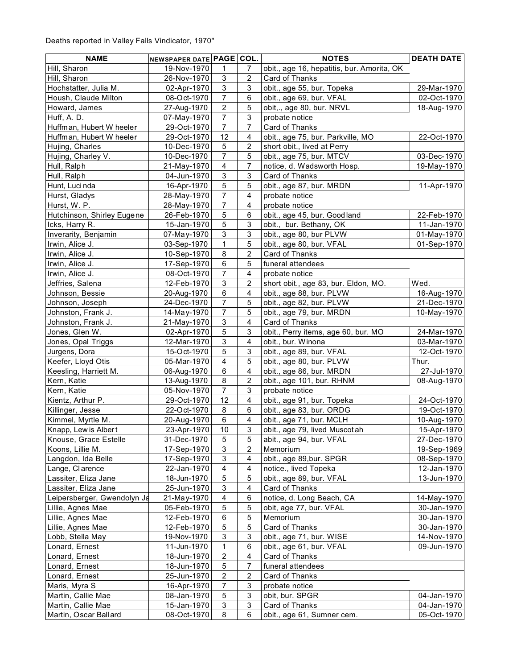| <b>NAME</b>                 | NEWSPAPER DATE PAGE        |                         | COL.                      | <b>NOTES</b>                                              | <b>DEATH DATE</b> |
|-----------------------------|----------------------------|-------------------------|---------------------------|-----------------------------------------------------------|-------------------|
| Hill, Sharon                | 19-Nov-1970                | 1                       | 7                         | obit., age 16, hepatitis, bur. Amorita, OK                |                   |
| Hill, Sharon                | 26-Nov-1970                | 3                       | 2                         | Card of Thanks                                            |                   |
| Hochstatter, Julia M.       | 02-Apr-1970                | 3                       | 3                         | obit., age 55, bur. Topeka                                | 29-Mar-1970       |
| Housh, Claude Milton        | 08-Oct-1970                | $\overline{7}$          | $\,6\,$                   | obit., age 69, bur. VFAL                                  | 02-Oct-1970       |
| Howard, James               | 27-Aug-1970                | $\overline{2}$          | 5                         | obit,., age 80, bur. NRVL                                 | 18-Aug-1970       |
| Huff, A. D.                 | 07-May-1970                | $\overline{7}$          | $\sqrt{3}$                | probate notice                                            |                   |
| Huffman, Hubert W heeler    | 29-Oct-1970                | $\overline{7}$          | $\overline{7}$            | Card of Thanks                                            |                   |
| Huffman, Hubert W heeler    | 29-Oct-1970                | 12                      | 4                         | obit., age 75, bur. Parkville, MO                         | 22-Oct-1970       |
| Hujing, Charles             | 10-Dec-1970                | $\mathbf 5$             | $\sqrt{2}$                | short obit., lived at Perry                               |                   |
| Hujing, Charley V.          | 10-Dec-1970                | $\overline{7}$          | $\sqrt{5}$                | obit., age 75, bur. MTCV                                  | 03-Dec-1970       |
| Hull, Ralph                 | 21-May-1970                | $\overline{\mathbf{4}}$ | $\overline{7}$            | notice, d. Wadsworth Hosp.                                | 19-May-1970       |
| Hull, Ralph                 | 04-Jun-1970                | 3                       | $\mathsf 3$               | Card of Thanks                                            |                   |
| Hunt, Luci nda              | 16-Apr-1970                | 5                       | 5                         | obit., age 87, bur. MRDN                                  | 11-Apr-1970       |
| Hurst, Gladys               | 28-May-1970                | $\overline{7}$          | 4                         | probate notice                                            |                   |
| Hurst, W. P.                | 28-May-1970                | 7                       | 4                         | probate notice                                            |                   |
| Hutchinson, Shirley Eugene  | 26-Feb-1970                | 5                       | 6                         | obit., age 45, bur. Goodland                              | 22-Feb-1970       |
| Icks, Harry R.              | 15-Jan-1970                | 5                       | $\mathbf{3}$              | obit., bur. Bethany, OK                                   | 11-Jan-1970       |
| Inverarity, Benjamin        | 07-May-1970                | 3                       | $\ensuremath{\mathsf{3}}$ | obit., age 80, bur PLVW                                   | 01-May-1970       |
| Irwin, Alice J.             | 03-Sep-1970                | $\mathbf{1}$            | 5                         | obit., age 80, bur. VFAL                                  | 01-Sep-1970       |
| Irwin, Alice J.             | 10-Sep-1970                | 8                       | 2                         | Card of Thanks                                            |                   |
| Irwin, Alice J.             | 17-Sep-1970                | 6                       | 5                         | funeral attendees                                         |                   |
| Irwin, Alice J.             | 08-Oct-1970                | $\overline{7}$          | 4                         | probate notice                                            |                   |
| Jeffries, Salena            | 12-Feb-1970                | 3                       | $\overline{c}$            | short obit., age 83, bur. Eldon, MO.                      | Wed.              |
| Johnson, Bessie             | 20-Aug-1970                | $\,6\,$                 | $\overline{4}$            | obit., age 88, bur. PLVW                                  | 16-Aug-1970       |
| Johnson, Joseph             | 24-Dec-1970                | $\overline{7}$          | 5                         | obit., age 82, bur. PLVW                                  | 21-Dec-1970       |
| Johnston, Frank J.          | 14-May-1970                | $\overline{7}$          | 5                         | obit., age 79, bur. MRDN                                  | 10-May-1970       |
| Johnston, Frank J.          | 21-May-1970                | 3                       | 4                         | Card of Thanks                                            |                   |
| Jones, Glen W.              |                            | 5                       | $\sqrt{3}$                |                                                           | 24-Mar-1970       |
| Jones, Opal Triggs          | 02-Apr-1970<br>12-Mar-1970 | 3                       | 4                         | obit., Perry items, age 60, bur. MO<br>obit., bur. Winona | 03-Mar-1970       |
| Jurgens, Dora               | 15-Oct-1970                | 5                       | $\mathsf 3$               | obit., age 89, bur. VFAL                                  | 12-Oct-1970       |
| Keefer, Lloyd Otis          | 05-Mar-1970                | $\overline{\mathbf{4}}$ | $\overline{5}$            | obit., age 80, bur. PLVW                                  | Thur.             |
| Keesling, Harriett M.       | 06-Aug-1970                | 6                       | $\overline{\mathbf{4}}$   | obit., age 86, bur. MRDN                                  | 27-Jul-1970       |
| Kern, Katie                 |                            | 8                       | $\overline{2}$            |                                                           | 08-Aug-1970       |
| Kern, Katie                 | 13-Aug-1970<br>05-Nov-1970 | $\overline{7}$          | $\mathsf 3$               | obit., age 101, bur. RHNM<br>probate notice               |                   |
| Kientz, Arthur P.           | 29-Oct-1970                | 12                      | $\overline{4}$            |                                                           | 24-Oct-1970       |
|                             | 22-Oct-1970                | 8                       | 6                         | obit., age 91, bur. Topeka                                | 19-Oct-1970       |
| Killinger, Jesse            |                            |                         |                           | obit., age 83, bur. ORDG                                  |                   |
| Kimmel, Myrtle M.           | 20-Aug-1970                | $\,6$                   | $\overline{4}$            | obit., age 71, bur. MCLH                                  | 10-Aug-1970       |
| Knapp, Lew is Albert        | 23-Apr-1970                | $10$                    | $\ensuremath{\mathsf{3}}$ | obit., age 79, lived Muscot ah                            | 15-Apr-1970       |
| Knouse, Grace Estelle       | 31-Dec-1970                | 5                       | 5                         | abit., age 94, bur. VFAL                                  | 27-Dec-1970       |
| Koons, Lillie M.            | 17-Sep-1970                | 3                       | 2                         | Memorium                                                  | 19-Sep-1969       |
| Langdon, Ida Belle          | 17-Sep-1970                | 3                       | 4                         | obit., age 89, bur. SPGR                                  | 08-Sep-1970       |
| Lange, Clarence             | 22-Jan-1970                | 4                       | 4                         | notice., lived Topeka                                     | 12-Jan-1970       |
| Lassiter, Eliza Jane        | 18-Jun-1970                | 5                       | 5                         | obit., age 89, bur. VFAL                                  | 13-Jun-1970       |
| Lassiter, Eliza Jane        | 25-Jun-1970                | 3                       | 4                         | Card of Thanks                                            |                   |
| Leipersberger, Gwendolyn Ja | 21-May-1970                | 4                       | 6                         | notice, d. Long Beach, CA                                 | 14-May-1970       |
| Lillie, Agnes Mae           | 05-Feb-1970                | 5                       | 5                         | obit, age 77, bur. VFAL                                   | 30-Jan-1970       |
| Lillie, Agnes Mae           | 12-Feb-1970                | 6                       | 5                         | Memorium                                                  | 30-Jan-1970       |
| Lillie, Agnes Mae           | 12-Feb-1970                | 5                       | 5                         | Card of Thanks                                            | 30-Jan-1970       |
| Lobb, Stella May            | 19-Nov-1970                | 3                       | 3                         | obit., age 71, bur. WISE                                  | 14-Nov-1970       |
| Lonard, Ernest              | 11-Jun-1970                | 1                       | 6                         | obit., age 61, bur. VFAL                                  | 09-Jun-1970       |
| Lonard, Ernest              | 18-Jun-1970                | $\overline{\mathbf{c}}$ | 4                         | Card of Thanks                                            |                   |
| Lonard, Ernest              | 18-Jun-1970                | 5                       | 7                         | funeral attendees                                         |                   |
| Lonard, Ernest              | 25-Jun-1970                | 2                       | 2                         | Card of Thanks                                            |                   |
| Maris, Myra S               | 16-Apr-1970                | 7                       | 3                         | probate notice                                            |                   |
| Martin, Callie Mae          | 08-Jan-1970                | 5                       | 3                         | obit, bur. SPGR                                           | 04-Jan-1970       |
| Martin, Callie Mae          | 15-Jan-1970                | 3                       | 3                         | Card of Thanks                                            | 04-Jan-1970       |
| Martin, Oscar Ballard       | 08-Oct-1970                | 8                       | 6                         | obit., age 61, Sumner cem.                                | 05-Oct-1970       |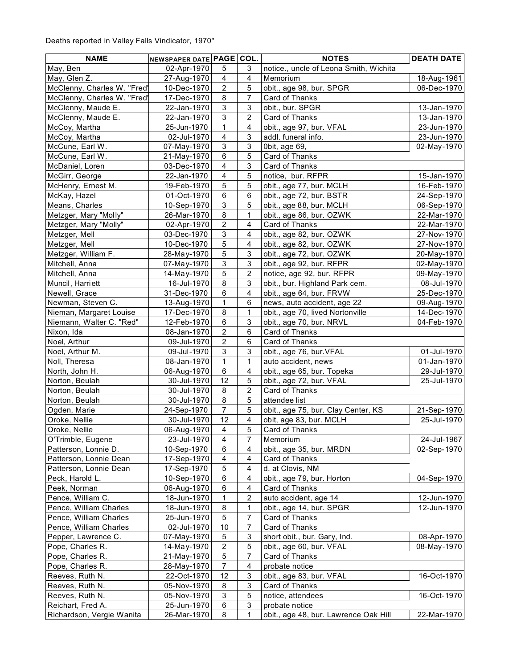| <b>NAME</b>                 | NEWSPAPER DATE PAGE COL. |                           |                           | <b>NOTES</b>                           | <b>DEATH DATE</b> |
|-----------------------------|--------------------------|---------------------------|---------------------------|----------------------------------------|-------------------|
| May, Ben                    | 02-Apr-1970              | 5                         | 3                         | notice., uncle of Leona Smith, Wichita |                   |
| May, Glen Z.                | 27-Aug-1970              | $\overline{\mathbf{4}}$   | $\overline{4}$            | Memorium                               | 18-Aug-1961       |
| McClenny, Charles W. "Fred' | 10-Dec-1970              | $\overline{c}$            | $\overline{5}$            | obit., age 98, bur. SPGR               | 06-Dec-1970       |
| McClenny, Charles W. "Fred' | 17-Dec-1970              | 8                         | $\overline{7}$            | Card of Thanks                         |                   |
| McClenny, Maude E.          | 22-Jan-1970              | 3                         | $\sqrt{3}$                | obit., bur. SPGR                       | 13-Jan-1970       |
| McClenny, Maude E.          | 22-Jan-1970              | 3                         | $\overline{c}$            | Card of Thanks                         | 13-Jan-1970       |
| McCoy, Martha               | 25-Jun-1970              | 1                         | $\overline{\mathbf{4}}$   | obit., age 97, bur. VFAL               | 23-Jun-1970       |
| McCoy, Martha               | 02-Jul-1970              | $\overline{\mathbf{4}}$   | $\mathsf 3$               | addl. funeral info.                    | 23-Jun-1970       |
| McCune, Earl W.             | 07-May-1970              | $\ensuremath{\mathsf{3}}$ | $\ensuremath{\mathsf{3}}$ | 0bit, age 69,                          | 02-May-1970       |
| McCune, Earl W.             | 21-May-1970              | 6                         | $\mathbf 5$               | Card of Thanks                         |                   |
| McDaniel, Loren             | 03-Dec-1970              | $\overline{\mathbf{4}}$   | $\sqrt{3}$                | Card of Thanks                         |                   |
| McGirr, George              | 22-Jan-1970              | $\overline{\mathbf{4}}$   | $\sqrt{5}$                | notice, bur. RFPR                      | 15-Jan-1970       |
| McHenry, Ernest M.          | 19-Feb-1970              | 5                         | 5                         | obit., age 77, bur. MCLH               | 16-Feb-1970       |
| McKay, Hazel                | 01-Oct-1970              | 6                         | 6                         | obit., age 72, bur. BSTR               | 24-Sep-1970       |
| Means, Charles              | 10-Sep-1970              | 3                         | 5                         | obit., age 88, bur. MCLH               | 06-Sep-1970       |
| Metzger, Mary "Molly"       | 26-Mar-1970              | 8                         | $\mathbf{1}$              | obit., age 86, bur. OZWK               | 22-Mar-1970       |
| Metzger, Mary "Molly"       | 02-Apr-1970              | $\overline{c}$            | $\overline{\mathbf{4}}$   | Card of Thanks                         | 22-Mar-1970       |
| Metzger, Mell               | 03-Dec-1970              | 3                         | $\overline{\mathbf{4}}$   | obit., age 82, bur. OZWK               | 27-Nov-1970       |
| Metzger, Mell               | 10-Dec-1970              | 5                         | $\overline{\mathbf{4}}$   | obit., age 82, bur. OZWK               | 27-Nov-1970       |
| Metzger, William F.         | 28-May-1970              | 5                         | $\ensuremath{\mathsf{3}}$ | obit., age 72, bur. OZWK               | 20-May-1970       |
| Mitchell, Anna              | 07-May-1970              | 3                         | $\mathsf 3$               | obit., age 92, bur. RFPR               | 02-May-1970       |
| Mitchell, Anna              | 14-May-1970              | 5                         | $\sqrt{2}$                | notice, age 92, bur. RFPR              | 09-May-1970       |
| Muncil, Harriett            | 16-Jul-1970              | 8                         | $\mathsf 3$               | obit., bur. Highland Park cem.         | 08-Jul-1970       |
| Newell, Grace               | 31-Dec-1970              | 6                         | $\overline{\mathbf{4}}$   | obit., age 64, bur. FRVW               | 25-Dec-1970       |
| Newman, Steven C.           | 13-Aug-1970              | $\mathbf{1}$              | 6                         | news, auto accident, age 22            | 09-Aug-1970       |
| Nieman, Margaret Louise     | 17-Dec-1970              | 8                         | $\mathbf{1}$              | obit., age 70, lived Nortonville       | 14-Dec-1970       |
| Niemann, Walter C. "Red"    | 12-Feb-1970              | 6                         | 3                         | obit., age 70, bur. NRVL               | 04-Feb-1970       |
| Nixon, Ida                  | 08-Jan-1970              | $\overline{c}$            | 6                         | Card of Thanks                         |                   |
| Noel, Arthur                | 09-Jul-1970              | $\overline{c}$            | 6                         | Card of Thanks                         |                   |
| Noel, Arthur M.             | 09-Jul-1970              | 3                         | $\mathsf 3$               | obit., age 76, bur. VFAL               | 01-Jul-1970       |
| Noll, Theresa               | 08-Jan-1970              | $\mathbf{1}$              | $\mathbf{1}$              | auto accident, news                    | 01-Jan-1970       |
| North, John H.              | 06-Aug-1970              | $\,6\,$                   | $\overline{\mathbf{4}}$   | obit., age 65, bur. Topeka             | 29-Jul-1970       |
| Norton, Beulah              | 30-Jul-1970              | 12                        | $\sqrt{5}$                | obit., age 72, bur. VFAL               | 25-Jul-1970       |
| Norton, Beulah              | 30-Jul-1970              | $\bf 8$                   | $\mathbf 2$               | Card of Thanks                         |                   |
| Norton, Beulah              | 30-Jul-1970              | 8                         | $\sqrt{5}$                | attendee list                          |                   |
| Ogden, Marie                | 24-Sep-1970              | $\overline{7}$            | 5                         | obit., age 75, bur. Clay Center, KS    | 21-Sep-1970       |
| Oroke, Nellie               | 30-Jul-1970              | 12                        | $\overline{\mathbf{4}}$   | obit, age 83, bur. MCLH                | 25-Jul-1970       |
| Oroke, Nellie               | 06-Aug-1970              | $\overline{\mathbf{4}}$   | $\mathbf 5$               | Card of Thanks                         |                   |
| O'Trimble, Eugene           | 23-Jul-1970              | 4                         | 7                         | Memorium                               | 24-Jul-1967       |
| Patterson, Lonnie D.        | 10-Sep-1970              | 6                         | 4                         | obit., age 35, bur. MRDN               | 02-Sep-1970       |
| Patterson, Lonnie Dean      | 17-Sep-1970              | 4                         | 4                         | Card of Thanks                         |                   |
| Patterson, Lonnie Dean      | 17-Sep-1970              | 5                         | 4                         | d. at Clovis, NM                       |                   |
| Peck, Harold L.             | 10-Sep-1970              | 6                         | 4                         | obit., age 79, bur. Horton             | 04-Sep-1970       |
| Peek, Norman                | 06-Aug-1970              | 6                         | $\overline{4}$            | Card of Thanks                         |                   |
| Pence, William C.           | 18-Jun-1970              | 1                         | $\boldsymbol{2}$          | auto accident, age 14                  | 12-Jun-1970       |
| Pence, William Charles      | 18-Jun-1970              | 8                         | $\mathbf{1}$              | obit., age 14, bur. SPGR               | 12-Jun-1970       |
| Pence, William Charles      | 25-Jun-1970              | 5                         | 7                         | Card of Thanks                         |                   |
| Pence, William Charles      | 02-Jul-1970              | 10                        | $\overline{7}$            | Card of Thanks                         |                   |
| Pepper, Lawrence C.         | 07-May-1970              | 5                         | $\ensuremath{\mathsf{3}}$ | short obit., bur. Gary, Ind.           | 08-Apr-1970       |
| Pope, Charles R.            | 14-May-1970              | $\overline{\mathbf{c}}$   | $\mathbf 5$               | obit., age 60, bur. VFAL               | 08-May-1970       |
| Pope, Charles R.            | 21-May-1970              | 5                         | 7                         | Card of Thanks                         |                   |
| Pope, Charles R.            | 28-May-1970              | 7                         | $\overline{4}$            | probate notice                         |                   |
| Reeves, Ruth N.             | 22-Oct-1970              | 12                        | 3                         | obit., age 83, bur. VFAL               | 16-Oct-1970       |
| Reeves, Ruth N.             | 05-Nov-1970              | 8                         | $\ensuremath{\mathsf{3}}$ | Card of Thanks                         |                   |
| Reeves, Ruth N.             | 05-Nov-1970              | 3                         | 5                         | notice, attendees                      | 16-Oct-1970       |
| Reichart, Fred A.           | 25-Jun-1970              | 6                         | $\ensuremath{\mathsf{3}}$ | probate notice                         |                   |
| Richardson, Vergie Wanita   | 26-Mar-1970              | 8                         | 1                         | obit., age 48, bur. Lawrence Oak Hill  | 22-Mar-1970       |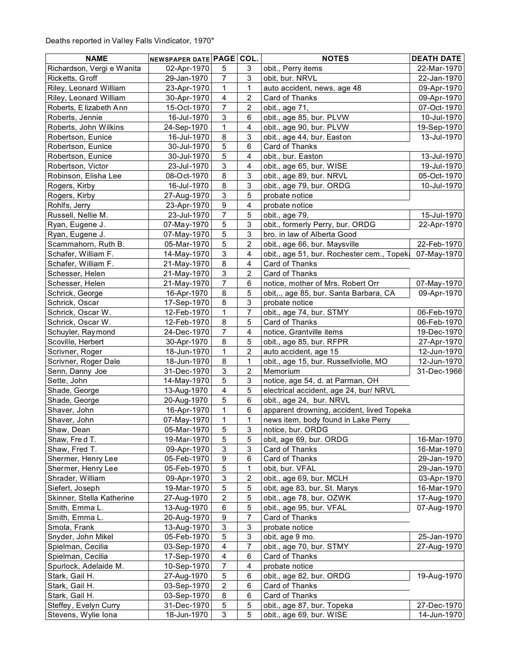| <b>NAME</b>                | NEWSPAPER DATE PAGE COL. |                           |                           | <b>NOTES</b>                              | <b>DEATH DATE</b> |
|----------------------------|--------------------------|---------------------------|---------------------------|-------------------------------------------|-------------------|
| Richardson, Vergi e Wanita | 02-Apr-1970              | 5                         | 3                         | obit., Perry items                        | 22-Mar-1970       |
| Ricketts, Groff            | 29-Jan-1970              | $\overline{7}$            | $\mathbf{3}$              | obit, bur. NRVL                           | 22-Jan-1970       |
| Riley, Leonard William     | 23-Apr-1970              | 1                         | $\mathbf{1}$              | auto accident, news, age 48               | 09-Apr-1970       |
| Riley, Leonard William     | 30-Apr-1970              | $\overline{\mathbf{4}}$   | $\overline{c}$            | Card of Thanks                            | 09-Apr-1970       |
| Roberts, E lizabeth Ann    | 15-Oct-1970              | $\overline{7}$            | $\overline{2}$            | obit., age 71,                            | 07-Oct-1970       |
| Roberts, Jennie            | 16-Jul-1970              | $\mathsf 3$               | 6                         | obit., age 85, bur. PLVW                  | 10-Jul-1970       |
| Roberts, John Wilkins      | 24-Sep-1970              | $\mathbf{1}$              | $\overline{\mathbf{4}}$   | obit., age 90, bur. PLVW                  | 19-Sep-1970       |
| Robertson, Eunice          | 16-Jul-1970              | 8                         | $\sqrt{3}$                | obit., age 44, bur. Easton                | 13-Jul-1970       |
| Robertson, Eunice          | 30-Jul-1970              | $\mathbf 5$               | $\,6\,$                   | Card of Thanks                            |                   |
| Robertson, Eunice          | 30-Jul-1970              | $\mathbf 5$               | $\overline{\mathbf{4}}$   | obit., bur. Easton                        | 13-Jul-1970       |
| Robertson, Victor          | 23-Jul-1970              | 3                         | 4                         | obit., age 65, bur. WISE                  | 19-Jul-1970       |
| Robinson, Elisha Lee       | 08-Oct-1970              | 8                         | 3                         | obit., age 89, bur. NRVL                  | 05-Oct-1970       |
| Rogers, Kirby              | 16-Jul-1970              | $\bf 8$                   | 3                         | obit., age 79, bur. ORDG                  | 10-Jul-1970       |
| Rogers, Kirby              | 27-Aug-1970              | 3                         | 5                         | probate notice                            |                   |
| Rohlfs, Jerry              | 23-Apr-1970              | $\boldsymbol{9}$          | $\overline{\mathbf{4}}$   | probate notice                            |                   |
| Russell, Nellie M.         | 23-Jul-1970              | 7                         | 5                         | obit., age 79,                            | 15-Jul-1970       |
| Ryan, Eugene J.            | 07-May-1970              | 5                         | 3                         | obit., formerly Perry, bur. ORDG          | 22-Apr-1970       |
| Ryan, Eugene J.            | 07-May-1970              | 5                         | $\sqrt{3}$                | bro. in law of Alberta Good               |                   |
| Scammahorn, Ruth B.        | 05-Mar-1970              | 5                         | $\overline{c}$            | obit., age 66, bur. Maysville             | 22-Feb-1970       |
| Schafer, William F.        | 14-May-1970              | $\mathfrak{S}$            | $\overline{\mathbf{4}}$   | obit., age 51, bur. Rochester cem., Topek | 07-May-1970       |
| Schafer, William F.        | 21-May-1970              | 8                         | $\overline{\mathbf{4}}$   | Card of Thanks                            |                   |
| Schesser, Helen            | 21-May-1970              | $\mathbf{3}$              | $\sqrt{2}$                | Card of Thanks                            |                   |
| Schesser, Helen            | 21-May-1970              | $\overline{7}$            | 6                         | notice, mother of Mrs. Robert Orr         | 07-May-1970       |
| Schrick, George            | 16-Apr-1970              | 8                         | 5                         | obit,., age 85, bur. Santa Barbara, CA    | 09-Apr-1970       |
| Schrick, Oscar             | 17-Sep-1970              | 8                         | 3                         | probate notice                            |                   |
| Schrick, Oscar W.          | 12-Feb-1970              | 1                         | $\overline{7}$            | obit., age 74, bur. STMY                  | 06-Feb-1970       |
| Schrick, Oscar W.          | 12-Feb-1970              | $\bf 8$                   | 5                         | Card of Thanks                            | 06-Feb-1970       |
| Schuyler, Raymond          | 24-Dec-1970              | $\overline{7}$            | $\overline{\mathbf{4}}$   | notice, Grantville items                  | 19-Dec-1970       |
| Scoville, Herbert          | 30-Apr-1970              | $\bf 8$                   | $\sqrt{5}$                | obit., age 85, bur. RFPR                  | 27-Apr-1970       |
| Scrivner, Roger            | 18-Jun-1970              | $\mathbf{1}$              | $\overline{c}$            | auto accident, age 15                     | 12-Jun-1970       |
| Scrivner, Roger Dale       | 18-Jun-1970              | 8                         | $\mathbf{1}$              | obit., age 15, bur. Russellviolle, MO     | 12-Jun-1970       |
| Senn, Danny Joe            | 31-Dec-1970              | $\mathsf 3$               | $\overline{c}$            | Memorium                                  | 31-Dec-1966       |
| Sette, John                | 14-May-1970              | 5                         | $\ensuremath{\mathsf{3}}$ | notice, age 54, d. at Parman, OH          |                   |
| Shade, George              | 13-Aug-1970              | $\overline{\mathbf{4}}$   | $\overline{5}$            | electrical accident, age 24, bur/ NRVL    |                   |
| Shade, George              | 20-Aug-1970              | 5                         | $\,6\,$                   | obit., age 24, bur. NRVL                  |                   |
| Shaver, John               | 16-Apr-1970              | 1                         | 6                         | apparent drowning, accident, lived Topeka |                   |
| Shaver, John               | 07-May-1970              | $\mathbf{1}$              | $\mathbf{1}$              | news item, body found in Lake Perry       |                   |
| Shaw, Dean                 | 05-Mar-1970              | 5                         | 3                         | notice, bur. ORDG                         |                   |
| Shaw, Fred T.              | 19-Mar-1970              | 5                         | 5                         | obit, age 69, bur. ORDG                   | 16-Mar-1970       |
| Shaw, Fred T.              | 09-Apr-1970              | 3                         | 3                         | Card of Thanks                            | 16-Mar-1970       |
| Shermer, Henry Lee         | 05-Feb-1970              | 9                         | 6                         | Card of Thanks                            | 29-Jan-1970       |
| Shermer, Henry Lee         | 05-Feb-1970              | 5                         | 1                         | obit, bur. VFAL                           | 29-Jan-1970       |
| Shrader, William           | 09-Apr-1970              | 3                         | 2                         | obit., age 69, bur. MCLH                  | 03-Apr-1970       |
| Siefert, Joseph            | 19-Mar-1970              | 5                         | 5                         | obit, age 83, bur. St. Marys              | 16-Mar-1970       |
| Skinner, Stella Katherine  | 27-Aug-1970              | $\overline{\mathbf{c}}$   | 5                         | obit., age 78, bur. OZWK                  | 17-Aug-1970       |
| Smith, Emma L.             | 13-Aug-1970              | $\,6$                     | 5                         | obit., age 95, bur. VFAL                  | 07-Aug-1970       |
| Smith, Emma L.             | 20-Aug-1970              | $\boldsymbol{9}$          | $\overline{7}$            | Card of Thanks                            |                   |
| Smola, Frank               | 13-Aug-1970              | $\ensuremath{\mathsf{3}}$ | $\ensuremath{\mathsf{3}}$ | probate notice                            |                   |
| Snyder, John Mikel         | 05-Feb-1970              | 5                         | $\ensuremath{\mathsf{3}}$ | obit, age 9 mo.                           | 25-Jan-1970       |
| Spielman, Cecilia          | 03-Sep-1970              | 4                         | $\overline{7}$            | obit., age 70, bur. STMY                  | 27-Aug-1970       |
| Spielman, Cecilia          | 17-Sep-1970              | 4                         | 6                         | Card of Thanks                            |                   |
| Spurlock, Adelaide M.      | 10-Sep-1970              | 7                         | $\overline{\mathbf{4}}$   | probate notice                            |                   |
| Stark, Gail H.             | 27-Aug-1970              | 5                         | 6                         | obit., age 82, bur. ORDG                  | 19-Aug-1970       |
| Stark, Gail H.             | 03-Sep-1970              | 2                         | 6                         | Card of Thanks                            |                   |
| Stark, Gail H.             | 03-Sep-1970              | 8                         | 6                         | Card of Thanks                            |                   |
| Steffey, Evelyn Curry      | 31-Dec-1970              | 5                         | 5                         | obit., age 87, bur. Topeka                | 27-Dec-1970       |
| Stevens, Wylie Iona        | 18-Jun-1970              | 3                         | 5                         | obit., age 69, bur. WISE                  | 14-Jun-1970       |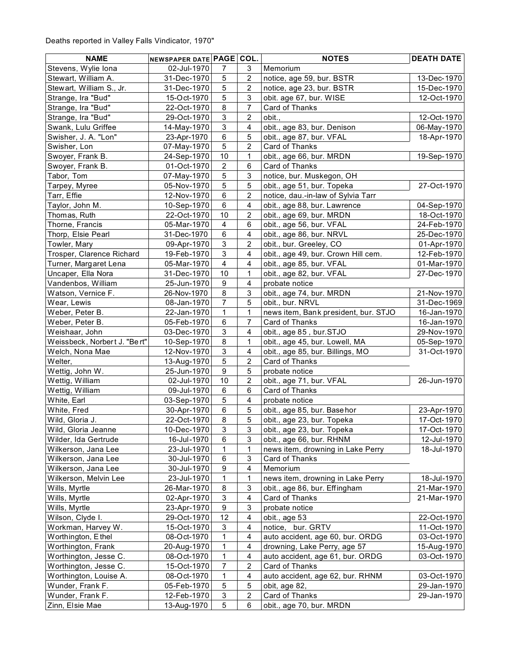| <b>NAME</b>                  | NEWSPAPER DATE PAGE COL. |                           |                           | <b>NOTES</b>                         | <b>DEATH DATE</b> |
|------------------------------|--------------------------|---------------------------|---------------------------|--------------------------------------|-------------------|
| Stevens, Wylie Iona          | 02-Jul-1970              | 7                         | 3                         | Memorium                             |                   |
| Stewart, William A.          | 31-Dec-1970              | 5                         | 2                         | notice, age 59, bur. BSTR            | 13-Dec-1970       |
| Stewart, William S., Jr.     | 31-Dec-1970              | 5                         | $\overline{c}$            | notice, age 23, bur. BSTR            | 15-Dec-1970       |
| Strange, Ira "Bud"           | 15-Oct-1970              | 5                         | 3                         | obit. age 67, bur. WISE              | 12-Oct-1970       |
| Strange, Ira "Bud"           | 22-Oct-1970              | 8                         | 7                         | Card of Thanks                       |                   |
| Strange, Ira "Bud"           | 29-Oct-1970              | 3                         | $\overline{c}$            | obit.,                               | 12-Oct-1970       |
| Swank, Lulu Griffee          | 14-May-1970              | $\ensuremath{\mathsf{3}}$ | $\overline{\mathbf{4}}$   | obit., age 83, bur. Denison          | 06-May-1970       |
| Swisher, J. A. "Lon"         | 23-Apr-1970              | 6                         | 5                         | obit., age 87, bur. VFAL             | 18-Apr-1970       |
| Swisher, Lon                 | 07-May-1970              | 5                         | $\sqrt{2}$                | Card of Thanks                       |                   |
| Swoyer, Frank B.             | 24-Sep-1970              | $10$                      | 1                         | obit., age 66, bur. MRDN             | 19-Sep-1970       |
| Swoyer, Frank B.             | 01-Oct-1970              | $\overline{2}$            | 6                         | Card of Thanks                       |                   |
| Tabor, Tom                   | 07-May-1970              | 5                         | $\sqrt{3}$                | notice, bur. Muskegon, OH            |                   |
| Tarpey, Myree                | 05-Nov-1970              | 5                         | $\mathbf 5$               | obit., age 51, bur. Topeka           | 27-Oct-1970       |
| Tarr, Effie                  | 12-Nov-1970              | $\,6$                     | 2                         | notice, dau.-in-law of Sylvia Tarr   |                   |
| Taylor, John M.              | 10-Sep-1970              | $\,6\,$                   | 4                         | obit., age 88, bur. Lawrence         | 04-Sep-1970       |
| Thomas, Ruth                 | 22-Oct-1970              | 10                        | $\overline{2}$            | obit., age 69, bur. MRDN             | 18-Oct-1970       |
| Thorne, Francis              | 05-Mar-1970              | $\overline{\mathbf{4}}$   | 6                         | obit., age 56, bur. VFAL             | 24-Feb-1970       |
| Thorp, Elsie Pearl           | 31-Dec-1970              | 6                         | $\overline{\mathbf{4}}$   | obit., age 86, bur. NRVL             | 25-Dec-1970       |
| Towler, Mary                 | 09-Apr-1970              | 3                         | 2                         | obit., bur. Greeley, CO              | 01-Apr-1970       |
| Trosper, Clarence Richard    | 19-Feb-1970              | $\ensuremath{\mathsf{3}}$ | $\overline{\mathbf{4}}$   | obit., age 49, bur. Crown Hill cem.  | 12-Feb-1970       |
| Turner, Margaret Lena        | 05-Mar-1970              | $\overline{\mathbf{4}}$   | $\overline{\mathbf{4}}$   | obit., age 85, bur. VFAL             | 01-Mar-1970       |
| Uncaper, Ella Nora           |                          | 10                        | 1                         |                                      | 27-Dec-1970       |
| Vandenbos, William           | 31-Dec-1970              | $\boldsymbol{9}$          | $\overline{\mathbf{4}}$   | obit., age 82, bur. VFAL             |                   |
|                              | 25-Jun-1970              |                           |                           | probate notice                       |                   |
| Watson, Vernice F.           | 26-Nov-1970              | 8                         | $\ensuremath{\mathsf{3}}$ | obit., age 74, bur. MRDN             | 21-Nov-1970       |
| Wear, Lewis                  | 08-Jan-1970              | $\overline{7}$            | 5                         | obit., bur. NRVL                     | 31-Dec-1969       |
| Weber, Peter B.              | 22-Jan-1970              | $\mathbf{1}$              | $\mathbf 1$               | news item, Bank president, bur. STJO | 16-Jan-1970       |
| Weber, Peter B.              | 05-Feb-1970              | 6                         | 7                         | Card of Thanks                       | 16-Jan-1970       |
| Weishaar, John               | 03-Dec-1970              | $\ensuremath{\mathsf{3}}$ | 4                         | obit., age 85, bur.STJO              | 29-Nov-1970       |
| Weissbeck, Norbert J. "Bert" | 10-Sep-1970              | 8                         | 1                         | obit., age 45, bur. Lowell, MA       | 05-Sep-1970       |
| Welch, Nona Mae              | 12-Nov-1970              | $\mathfrak{S}$            | $\overline{4}$            | obit., age 85, bur. Billings, MO     | 31-Oct-1970       |
| Welter,                      | 13-Aug-1970              | 5                         | $\overline{c}$            | Card of Thanks                       |                   |
| Wettig, John W.              | 25-Jun-1970              | $\boldsymbol{9}$          | 5                         | probate notice                       |                   |
| Wettig, William              | 02-Jul-1970              | 10                        | $\overline{c}$            | obit., age 71, bur. VFAL             | 26-Jun-1970       |
| Wettig, William              | 09-Jul-1970              | $\,6\,$                   | $\,6\,$                   | Card of Thanks                       |                   |
| White, Earl                  | 03-Sep-1970              | 5                         | $\overline{\mathbf{4}}$   | probate notice                       |                   |
| White, Fred                  | 30-Apr-1970              | $\,6$                     | $\sqrt{5}$                | obit., age 85, bur. Base hor         | 23-Apr-1970       |
| Wild, Gloria J.              | 22-Oct-1970              | 8                         | $\mathbf 5$               | obit., age 23, bur. Topeka           | 17-Oct-1970       |
| Wild, Gloria Jeanne          | 10-Dec-1970              | 3                         | $\ensuremath{\mathsf{3}}$ | obit., age 23, bur. Topeka           | 17-Oct-1970       |
| Wilder, Ida Gertrude         | 16-Jul-1970              | 6                         | 3                         | obit., age 66, bur. RHNM             | 12-Jul-1970       |
| Wilkerson, Jana Lee          | 23-Jul-1970              | 1                         | 1                         | news item, drowning in Lake Perry    | 18-Jul-1970       |
| Wilkerson, Jana Lee          | 30-Jul-1970              | 6                         | 3                         | Card of Thanks                       |                   |
| Wilkerson, Jana Lee          | 30-Jul-1970              | 9                         | 4                         | Memorium                             |                   |
| Wilkerson, Melvin Lee        | 23-Jul-1970              | 1                         | 1                         | news item, drowning in Lake Perry    | 18-Jul-1970       |
| Wills, Myrtle                | 26-Mar-1970              | 8                         | 3                         | obit., age 86, bur. Effingham        | 21-Mar-1970       |
| Wills, Myrtle                | 02-Apr-1970              | 3                         | $\overline{\mathbf{4}}$   | Card of Thanks                       | 21-Mar-1970       |
| Wills, Myrtle                | 23-Apr-1970              | 9                         | 3                         | probate notice                       |                   |
| Wilson, Clyde I.             | 29-Oct-1970              | 12                        | 4                         | obit., age 53                        | 22-Oct-1970       |
| Workman, Harvey W.           | 15-Oct-1970              | $\ensuremath{\mathsf{3}}$ | 4                         | notice, bur. GRTV                    | 11-Oct-1970       |
| Worthington, Ethel           | 08-Oct-1970              | 1                         | $\overline{\mathbf{4}}$   | auto accident, age 60, bur. ORDG     | 03-Oct-1970       |
| Worthington, Frank           | 20-Aug-1970              | 1                         | $\overline{\mathbf{4}}$   | drowning, Lake Perry, age 57         | 15-Aug-1970       |
| Worthington, Jesse C.        | 08-Oct-1970              | 1                         | $\overline{\mathbf{4}}$   | auto accident, age 61, bur. ORDG     | 03-Oct-1970       |
| Worthington, Jesse C.        | 15-Oct-1970              | 7                         | $\boldsymbol{2}$          | Card of Thanks                       |                   |
| Worthington, Louise A.       | 08-Oct-1970              | 1                         | 4                         | auto accident, age 62, bur. RHNM     | 03-Oct-1970       |
| Wunder, Frank F.             | 05-Feb-1970              | 5                         | 5                         | obit, age 82,                        | 29-Jan-1970       |
| Wunder, Frank F.             | 12-Feb-1970              | 3                         | $\boldsymbol{2}$          | Card of Thanks                       | 29-Jan-1970       |
| Zinn, Elsie Mae              | 13-Aug-1970              | 5                         | 6                         | obit., age 70, bur. MRDN             |                   |